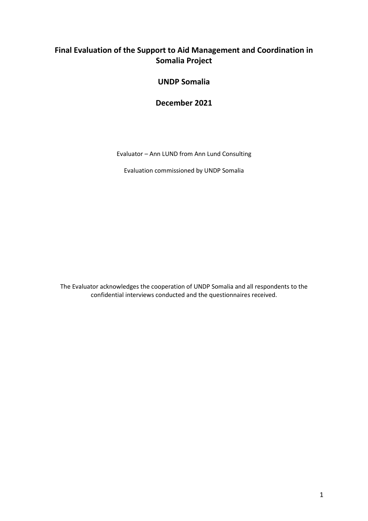## **Final Evaluation of the Support to Aid Management and Coordination in Somalia Project**

### **UNDP Somalia**

**December 2021**

Evaluator – Ann LUND from Ann Lund Consulting

Evaluation commissioned by UNDP Somalia

The Evaluator acknowledges the cooperation of UNDP Somalia and all respondents to the confidential interviews conducted and the questionnaires received.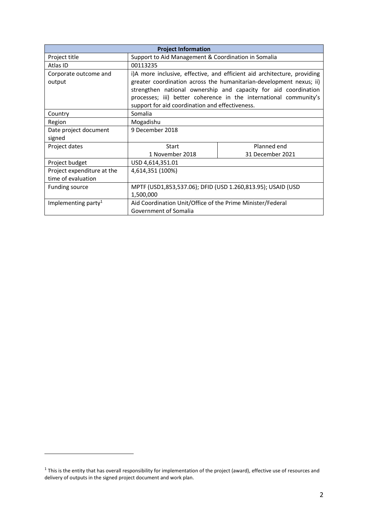| <b>Project Information</b>                       |                                                                                                                                                                                                                                                                                                                                            |                  |  |  |  |
|--------------------------------------------------|--------------------------------------------------------------------------------------------------------------------------------------------------------------------------------------------------------------------------------------------------------------------------------------------------------------------------------------------|------------------|--|--|--|
| Project title                                    | Support to Aid Management & Coordination in Somalia                                                                                                                                                                                                                                                                                        |                  |  |  |  |
| Atlas ID                                         | 00113235                                                                                                                                                                                                                                                                                                                                   |                  |  |  |  |
| Corporate outcome and<br>output                  | i)A more inclusive, effective, and efficient aid architecture, providing<br>greater coordination across the humanitarian-development nexus; ii)<br>strengthen national ownership and capacity for aid coordination<br>processes; iii) better coherence in the international community's<br>support for aid coordination and effectiveness. |                  |  |  |  |
| Country                                          | Somalia                                                                                                                                                                                                                                                                                                                                    |                  |  |  |  |
| Region                                           | Mogadishu                                                                                                                                                                                                                                                                                                                                  |                  |  |  |  |
| Date project document<br>signed                  | 9 December 2018                                                                                                                                                                                                                                                                                                                            |                  |  |  |  |
| Project dates                                    | Start                                                                                                                                                                                                                                                                                                                                      | Planned end      |  |  |  |
|                                                  | 1 November 2018                                                                                                                                                                                                                                                                                                                            | 31 December 2021 |  |  |  |
| Project budget                                   | USD 4,614,351.01                                                                                                                                                                                                                                                                                                                           |                  |  |  |  |
| Project expenditure at the<br>time of evaluation | 4,614,351 (100%)                                                                                                                                                                                                                                                                                                                           |                  |  |  |  |
| <b>Funding source</b>                            | MPTF (USD1,853,537.06); DFID (USD 1.260,813.95); USAID (USD<br>1,500,000                                                                                                                                                                                                                                                                   |                  |  |  |  |
| Implementing party <sup>1</sup>                  | Aid Coordination Unit/Office of the Prime Minister/Federal<br>Government of Somalia                                                                                                                                                                                                                                                        |                  |  |  |  |

 $1$  This is the entity that has overall responsibility for implementation of the project (award), effective use of resources and delivery of outputs in the signed project document and work plan.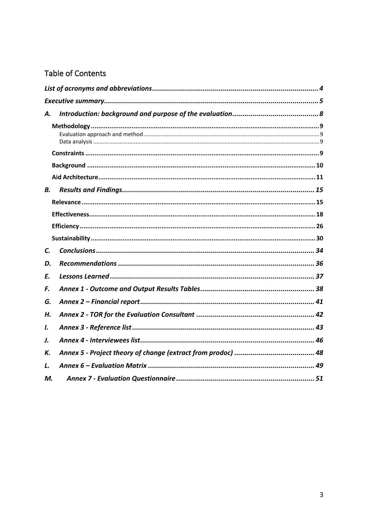## Table of Contents

| А. |  |
|----|--|
|    |  |
|    |  |
|    |  |
|    |  |
| В. |  |
|    |  |
|    |  |
|    |  |
|    |  |
| C. |  |
| D. |  |
| Ε. |  |
| F. |  |
| G. |  |
| Н. |  |
| I. |  |
| J. |  |
| К. |  |
| L. |  |
| М. |  |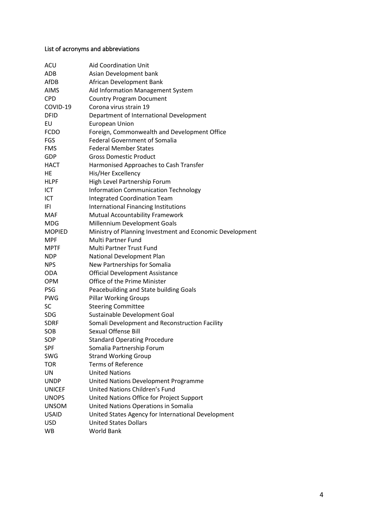## <span id="page-3-0"></span>List of acronyms and abbreviations

| ACU           | <b>Aid Coordination Unit</b>                             |
|---------------|----------------------------------------------------------|
| ADB           | Asian Development bank                                   |
| AfDB          | African Development Bank                                 |
| <b>AIMS</b>   | Aid Information Management System                        |
| <b>CPD</b>    | <b>Country Program Document</b>                          |
| COVID-19      | Corona virus strain 19                                   |
| <b>DFID</b>   | Department of International Development                  |
| EU            | European Union                                           |
| <b>FCDO</b>   | Foreign, Commonwealth and Development Office             |
| <b>FGS</b>    | <b>Federal Government of Somalia</b>                     |
| <b>FMS</b>    | <b>Federal Member States</b>                             |
| GDP           | <b>Gross Domestic Product</b>                            |
| HACT          | Harmonised Approaches to Cash Transfer                   |
| HE            | His/Her Excellency                                       |
| <b>HLPF</b>   | High Level Partnership Forum                             |
| ICT           | <b>Information Communication Technology</b>              |
| ICT           | <b>Integrated Coordination Team</b>                      |
| IFI           | International Financing Institutions                     |
| <b>MAF</b>    | Mutual Accountability Framework                          |
| MDG           | Millennium Development Goals                             |
| <b>MOPIED</b> | Ministry of Planning Investment and Economic Development |
| <b>MPF</b>    | <b>Multi Partner Fund</b>                                |
| <b>MPTF</b>   | <b>Multi Partner Trust Fund</b>                          |
| <b>NDP</b>    | National Development Plan                                |
| <b>NPS</b>    | New Partnerships for Somalia                             |
| <b>ODA</b>    | <b>Official Development Assistance</b>                   |
| <b>OPM</b>    | Office of the Prime Minister                             |
| <b>PSG</b>    | Peacebuilding and State building Goals                   |
| <b>PWG</b>    | <b>Pillar Working Groups</b>                             |
| <b>SC</b>     | <b>Steering Committee</b>                                |
| <b>SDG</b>    | Sustainable Development Goal                             |
| <b>SDRF</b>   | Somali Development and Reconstruction Facility           |
| SOB           | <b>Sexual Offense Bill</b>                               |
| SOP           | <b>Standard Operating Procedure</b>                      |
| <b>SPF</b>    | Somalia Partnership Forum                                |
| SWG           | <b>Strand Working Group</b>                              |
| <b>TOR</b>    | <b>Terms of Reference</b>                                |
| UN            | <b>United Nations</b>                                    |
| <b>UNDP</b>   | United Nations Development Programme                     |
| <b>UNICEF</b> | United Nations Children's Fund                           |
| <b>UNOPS</b>  | United Nations Office for Project Support                |
| <b>UNSOM</b>  | United Nations Operations in Somalia                     |
| <b>USAID</b>  | United States Agency for International Development       |
| <b>USD</b>    | <b>United States Dollars</b>                             |
| WB            | <b>World Bank</b>                                        |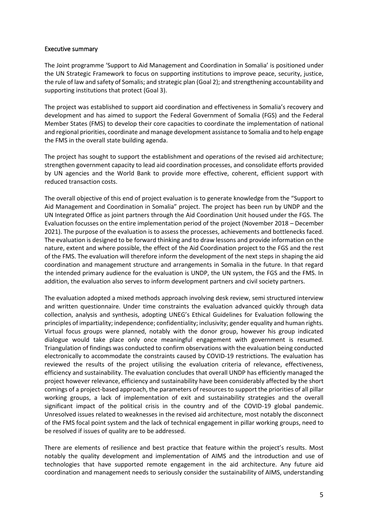#### <span id="page-4-0"></span>Executive summary

The Joint programme 'Support to Aid Management and Coordination in Somalia' is positioned under the UN Strategic Framework to focus on supporting institutions to improve peace, security, justice, the rule of law and safety of Somalis; and strategic plan (Goal 2); and strengthening accountability and supporting institutions that protect (Goal 3).

The project was established to support aid coordination and effectiveness in Somalia's recovery and development and has aimed to support the Federal Government of Somalia (FGS) and the Federal Member States (FMS) to develop their core capacities to coordinate the implementation of national and regional priorities, coordinate and manage development assistance to Somalia and to help engage the FMS in the overall state building agenda.

The project has sought to support the establishment and operations of the revised aid architecture; strengthen government capacity to lead aid coordination processes, and consolidate efforts provided by UN agencies and the World Bank to provide more effective, coherent, efficient support with reduced transaction costs.

The overall objective of this end of project evaluation is to generate knowledge from the "Support to Aid Management and Coordination in Somalia" project. The project has been run by UNDP and the UN Integrated Office as joint partners through the Aid Coordination Unit housed under the FGS. The Evaluation focusses on the entire implementation period of the project (November 2018 – December 2021). The purpose of the evaluation is to assess the processes, achievements and bottlenecks faced. The evaluation is designed to be forward thinking and to draw lessons and provide information on the nature, extent and where possible, the effect of the Aid Coordination project to the FGS and the rest of the FMS. The evaluation will therefore inform the development of the next steps in shaping the aid coordination and management structure and arrangements in Somalia in the future. In that regard the intended primary audience for the evaluation is UNDP, the UN system, the FGS and the FMS. In addition, the evaluation also serves to inform development partners and civil society partners.

The evaluation adopted a mixed methods approach involving desk review, semi structured interview and written questionnaire. Under time constraints the evaluation advanced quickly through data collection, analysis and synthesis, adopting UNEG's Ethical Guidelines for Evaluation following the principles of impartiality; independence; confidentiality; inclusivity; gender equality and human rights. Virtual focus groups were planned, notably with the donor group, however his group indicated dialogue would take place only once meaningful engagement with government is resumed. Triangulation of findings was conducted to confirm observations with the evaluation being conducted electronically to accommodate the constraints caused by COVID-19 restrictions. The evaluation has reviewed the results of the project utilising the evaluation criteria of relevance, effectiveness, efficiency and sustainability. The evaluation concludes that overall UNDP has efficiently managed the project however relevance, efficiency and sustainability have been considerably affected by the short comings of a project-based approach, the parameters of resources to support the priorities of all pillar working groups, a lack of implementation of exit and sustainability strategies and the overall significant impact of the political crisis in the country and of the COVID-19 global pandemic. Unresolved issues related to weaknesses in the revised aid architecture, most notably the disconnect of the FMS focal point system and the lack of technical engagement in pillar working groups, need to be resolved if issues of quality are to be addressed.

There are elements of resilience and best practice that feature within the project's results. Most notably the quality development and implementation of AIMS and the introduction and use of technologies that have supported remote engagement in the aid architecture. Any future aid coordination and management needs to seriously consider the sustainability of AIMS, understanding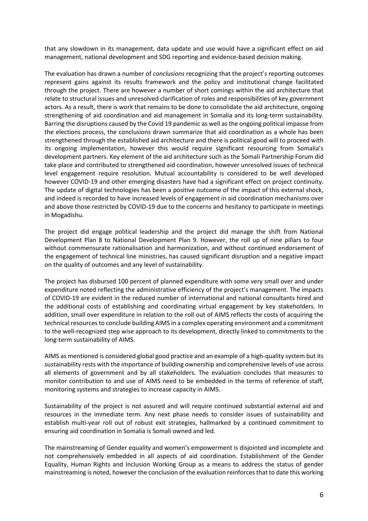that any slowdown in its management, data update and use would have a significant effect on aid management, national development and SDG reporting and evidence-based decision making.

The evaluation has drawn a number of *conclusions* recognizing that the project's reporting outcomes represent gains against its results framework and the policy and institutional change facilitated through the project. There are however a number of short comings within the aid architecture that relate to structural issues and unresolved clarification of roles and responsibilities of key government actors. As a result, there is work that remains to be done to consolidate the aid architecture, ongoing strengthening of aid coordination and aid management in Somalia and its long-term sustainability. Barring the disruptions caused by the Covid 19 pandemic as well as the ongoing political impasse from the elections process, the conclusions drawn summarize that aid coordination as a whole has been strengthened through the established aid architecture and there is political good will to proceed with its ongoing implementation, however this would require significant resourcing from Somalia's development partners. Key element of the aid architecture such as the Somali Partnership Forum did take place and contributed to strengthened aid coordination, however unresolved issues of technical level engagement require resolution. Mutual accountability is considered to be well developed however COVID-19 and other emerging disasters have had a significant effect on project continuity. The update of digital technologies has been a positive outcome of the impact of this external shock, and indeed is recorded to have increased levels of engagement in aid coordination mechanisms over and above those restricted by COVID-19 due to the concerns and hesitancy to participate in meetings in Mogadishu.

The project did engage political leadership and the project did manage the shift from National Development Plan 8 to National Development Plan 9. However, the roll up of nine pillars to four without commensurate rationalisation and harmonization, and without continued endorsement of the engagement of technical line ministries, has caused significant disruption and a negative impact on the quality of outcomes and any level of sustainability.

The project has disbursed 100 percent of planned expenditure with some very small over and under expenditure noted reflecting the administrative efficiency of the project's management. The impacts of COVID-19 are evident in the reduced number of international and national consultants hired and the additional costs of establishing and coordinating virtual engagement by key stakeholders. In addition, small over expenditure in relation to the roll out of AIMS reflects the costs of acquiring the technical resources to conclude building AIMS in a complex operating environment and a commitment to the well-recognized step wise approach to its development, directly linked to commitments to the long-term sustainability of AIMS.

AIMS as mentioned is considered global good practice and an example of a high-quality system but its sustainability rests with the importance of building ownership and comprehensive levels of use across all elements of government and by all stakeholders. The evaluation concludes that measures to monitor contribution to and use of AIMS need to be embedded in the terms of reference of staff, monitoring systems and strategies to increase capacity in AIMS.

Sustainability of the project is not assured and will require continued substantial external aid and resources in the immediate term. Any next phase needs to consider issues of sustainability and establish multi-year roll out of robust exit strategies, hallmarked by a continued commitment to ensuring aid coordination in Somalia is Somali owned and led.

The mainstreaming of Gender equality and women's empowerment is disjointed and incomplete and not comprehensively embedded in all aspects of aid coordination. Establishment of the Gender Equality, Human Rights and Inclusion Working Group as a means to address the status of gender mainstreaming is noted, however the conclusion of the evaluation reinforces that to date this working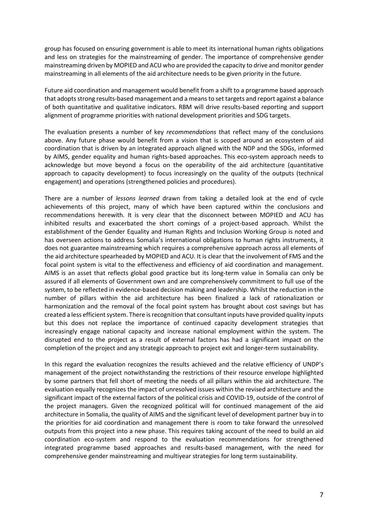group has focused on ensuring government is able to meet its international human rights obligations and less on strategies for the mainstreaming of gender. The importance of comprehensive gender mainstreaming driven by MOPIED and ACU who are provided the capacity to drive and monitor gender mainstreaming in all elements of the aid architecture needs to be given priority in the future.

Future aid coordination and management would benefit from a shift to a programme based approach that adopts strong results-based management and a means to set targets and report against a balance of both quantitative and qualitative indicators. RBM will drive results-based reporting and support alignment of programme priorities with national development priorities and SDG targets.

The evaluation presents a number of key *recommendations* that reflect many of the conclusions above. Any future phase would benefit from a vision that is scoped around an ecosystem of aid coordination that is driven by an integrated approach aligned with the NDP and the SDGs, informed by AIMS, gender equality and human rights-based approaches. This eco-system approach needs to acknowledge but move beyond a focus on the operability of the aid architecture (quantitative approach to capacity development) to focus increasingly on the quality of the outputs (technical engagement) and operations (strengthened policies and procedures).

There are a number of *lessons learned* drawn from taking a detailed look at the end of cycle achievements of this project, many of which have been captured within the conclusions and recommendations herewith. It is very clear that the disconnect between MOPIED and ACU has inhibited results and exacerbated the short comings of a project-based approach. Whilst the establishment of the Gender Equality and Human Rights and Inclusion Working Group is noted and has overseen actions to address Somalia's international obligations to human rights instruments, it does not guarantee mainstreaming which requires a comprehensive approach across all elements of the aid architecture spearheaded by MOPIED and ACU. It is clear that the involvement of FMS and the focal point system is vital to the effectiveness and efficiency of aid coordination and management. AIMS is an asset that reflects global good practice but its long-term value in Somalia can only be assured if all elements of Government own and are comprehensively commitment to full use of the system, to be reflected in evidence-based decision making and leadership. Whilst the reduction in the number of pillars within the aid architecture has been finalized a lack of rationalization or harmonization and the removal of the focal point system has brought about cost savings but has created a less efficient system. There is recognition that consultant inputs have provided quality inputs but this does not replace the importance of continued capacity development strategies that increasingly engage national capacity and increase national employment within the system. The disrupted end to the project as a result of external factors has had a significant impact on the completion of the project and any strategic approach to project exit and longer-term sustainability.

In this regard the evaluation recognizes the results achieved and the relative efficiency of UNDP's management of the project notwithstanding the restrictions of their resource envelope highlighted by some partners that fell short of meeting the needs of all pillars within the aid architecture. The evaluation equally recognizes the impact of unresolved issues within the revised architecture and the significant impact of the external factors of the political crisis and COVID-19, outside of the control of the project managers. Given the recognized political will for continued management of the aid architecture in Somalia, the quality of AIMS and the significant level of development partner buy in to the priorities for aid coordination and management there is room to take forward the unresolved outputs from this project into a new phase. This requires taking account of the need to build an aid coordination eco-system and respond to the evaluation recommendations for strengthened integrated programme based approaches and results-based management, with the need for comprehensive gender mainstreaming and multiyear strategies for long term sustainability.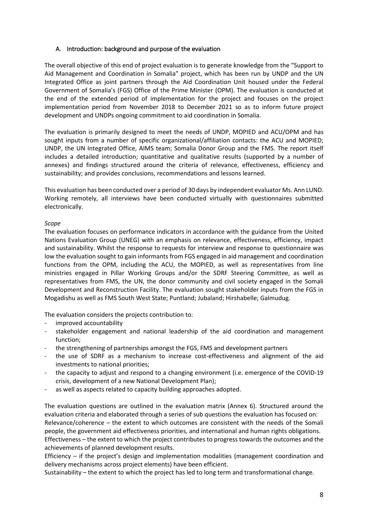#### <span id="page-7-0"></span>A. Introduction: background and purpose of the evaluation

The overall objective of this end of project evaluation is to generate knowledge from the "Support to Aid Management and Coordination in Somalia" project, which has been run by UNDP and the UN Integrated Office as joint partners through the Aid Coordination Unit housed under the Federal Government of Somalia's (FGS) Office of the Prime Minister (OPM). The evaluation is conducted at the end of the extended period of implementation for the project and focuses on the project implementation period from November 2018 to December 2021 so as to inform future project development and UNDPs ongoing commitment to aid coordination in Somalia.

The evaluation is primarily designed to meet the needs of UNDP, MOPIED and ACU/OPM and has sought inputs from a number of specific organizational/affiliation contacts: the ACU and MOPIED; UNDP, the UN Integrated Office, AIMS team; Somalia Donor Group and the FMS. The report itself includes a detailed introduction; quantitative and qualitative results (supported by a number of annexes) and findings structured around the criteria of relevance, effectiveness, efficiency and sustainability; and provides conclusions, recommendations and lessons learned.

This evaluation has been conducted over a period of 30 days by independent evaluator Ms. Ann LUND. Working remotely, all interviews have been conducted virtually with questionnaires submitted electronically.

#### *Scope*

The evaluation focuses on performance indicators in accordance with the guidance from the United Nations Evaluation Group (UNEG) with an emphasis on relevance, effectiveness, efficiency, impact and sustainability. Whilst the response to requests for interview and response to questionnaire was low the evaluation sought to gain informants from FGS engaged in aid management and coordination functions from the OPM, including the ACU, the MOPIED, as well as representatives from line ministries engaged in Pillar Working Groups and/or the SDRF Steering Committee, as well as representatives from FMS, the UN, the donor community and civil society engaged in the Somali Development and Reconstruction Facility. The evaluation sought stakeholder inputs from the FGS in Mogadishu as well as FMS South West State; Puntland; Jubaland; Hirshabelle; Galmudug.

The evaluation considers the projects contribution to:

- improved accountability
- stakeholder engagement and national leadership of the aid coordination and management function;
- the strengthening of partnerships amongst the FGS, FMS and development partners
- the use of SDRF as a mechanism to increase cost-effectiveness and alignment of the aid investments to national priorities;
- the capacity to adjust and respond to a changing environment (i.e. emergence of the COVID-19 crisis, development of a new National Development Plan);
- as well as aspects related to capacity building approaches adopted.

The evaluation questions are outlined in the evaluation matrix (Annex 6). Structured around the evaluation criteria and elaborated through a series of sub questions the evaluation has focused on: Relevance/coherence – the extent to which outcomes are consistent with the needs of the Somali people, the government aid effectiveness priorities, and international and human rights obligations. Effectiveness – the extent to which the project contributes to progress towards the outcomes and the achievements of planned development results.

Efficiency – if the project's design and implementation modalities (management coordination and delivery mechanisms across project elements) have been efficient.

Sustainability – the extent to which the project has led to long term and transformational change.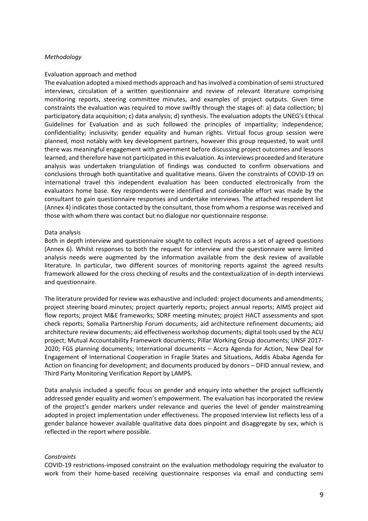#### <span id="page-8-0"></span>*Methodology*

#### <span id="page-8-1"></span>Evaluation approach and method

The evaluation adopted a mixed methods approach and has involved a combination of semi structured interviews, circulation of a written questionnaire and review of relevant literature comprising monitoring reports, steering committee minutes, and examples of project outputs. Given time constraints the evaluation was required to move swiftly through the stages of: a) data collection; b) participatory data acquisition; c) data analysis; d) synthesis. The evaluation adopts the UNEG's Ethical Guidelines for Evaluation and as such followed the principles of impartiality; independence; confidentiality; inclusivity; gender equality and human rights. Virtual focus group session were planned, most notably with key development partners, however this group requested, to wait until there was meaningful engagement with government before discussing project outcomes and lessons learned, and therefore have not participated in this evaluation. As interviews proceeded and literature analysis was undertaken triangulation of findings was conducted to confirm observations and conclusions through both quantitative and qualitative means. Given the constraints of COVID-19 on international travel this independent evaluation has been conducted electronically from the evaluators home base. Key respondents were identified and considerable effort was made by the consultant to gain questionnaire responses and undertake interviews. The attached respondent list (Annex 4) indicates those contacted by the consultant, those from whom a response was received and those with whom there was contact but no dialogue nor questionnaire response.

#### <span id="page-8-2"></span>Data analysis

Both in depth interview and questionnaire sought to collect inputs across a set of agreed questions (Annex 6). Whilst responses to both the request for interview and the questionnaire were limited analysis needs were augmented by the information available from the desk review of available literature. In particular, two different sources of monitoring reports against the agreed results framework allowed for the cross checking of results and the contextualization of in-depth interviews and questionnaire.

The literature provided for review was exhaustive and included: project documents and amendments; project steering board minutes; project quarterly reports; project annual reports; AIMS project aid flow reports; project M&E frameworks; SDRF meeting minutes; project HACT assessments and spot check reports; Somalia Partnership Forum documents; aid architecture refinement documents; aid architecture review documents; aid effectiveness workshop documents; digital tools used by the ACU project; Mutual Accountability Framework documents; Pillar Working Group documents; UNSF 2017- 2020; FGS planning documents; International documents – Accra Agenda for Action, New Deal for Engagement of International Cooperation in Fragile States and Situations, Addis Ababa Agenda for Action on financing for development; and documents produced by donors – DFID annual review, and Third Party Monitoring Verification Report by LAMPS.

Data analysis included a specific focus on gender and enquiry into whether the project sufficiently addressed gender equality and women's empowerment. The evaluation has incorporated the review of the project's gender markers under relevance and queries the level of gender mainstreaming adopted in project implementation under effectiveness. The proposed interview list reflects less of a gender balance however available qualitative data does pinpoint and disaggregate by sex, which is reflected in the report where possible.

#### <span id="page-8-3"></span>*Constraints*

COVID-19 restrictions-imposed constraint on the evaluation methodology requiring the evaluator to work from their home-based receiving questionnaire responses via email and conducting semi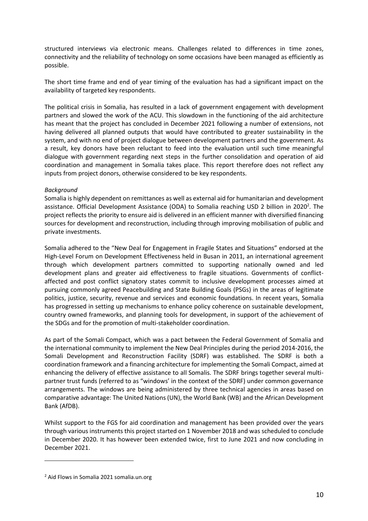structured interviews via electronic means. Challenges related to differences in time zones, connectivity and the reliability of technology on some occasions have been managed as efficiently as possible.

The short time frame and end of year timing of the evaluation has had a significant impact on the availability of targeted key respondents.

The political crisis in Somalia, has resulted in a lack of government engagement with development partners and slowed the work of the ACU. This slowdown in the functioning of the aid architecture has meant that the project has concluded in December 2021 following a number of extensions, not having delivered all planned outputs that would have contributed to greater sustainability in the system, and with no end of project dialogue between development partners and the government. As a result, key donors have been reluctant to feed into the evaluation until such time meaningful dialogue with government regarding next steps in the further consolidation and operation of aid coordination and management in Somalia takes place. This report therefore does not reflect any inputs from project donors, otherwise considered to be key respondents.

#### <span id="page-9-0"></span>*Background*

Somalia is highly dependent on remittances as well as external aid for humanitarian and development assistance. Official Development Assistance (ODA) to Somalia reaching USD 2 billion in 2020<sup>2</sup>. The project reflects the priority to ensure aid is delivered in an efficient manner with diversified financing sources for development and reconstruction, including through improving mobilisation of public and private investments.

Somalia adhered to the "New Deal for Engagement in Fragile States and Situations" endorsed at the High-Level Forum on Development Effectiveness held in Busan in 2011, an international agreement through which development partners committed to supporting nationally owned and led development plans and greater aid effectiveness to fragile situations. Governments of conflictaffected and post conflict signatory states commit to inclusive development processes aimed at pursuing commonly agreed Peacebuilding and State Building Goals (PSGs) in the areas of legitimate politics, justice, security, revenue and services and economic foundations. In recent years, Somalia has progressed in setting up mechanisms to enhance policy coherence on sustainable development, country owned frameworks, and planning tools for development, in support of the achievement of the SDGs and for the promotion of multi-stakeholder coordination.

As part of the Somali Compact, which was a pact between the Federal Government of Somalia and the international community to implement the New Deal Principles during the period 2014-2016, the Somali Development and Reconstruction Facility (SDRF) was established. The SDRF is both a coordination framework and a financing architecture for implementing the Somali Compact, aimed at enhancing the delivery of effective assistance to all Somalis. The SDRF brings together several multipartner trust funds (referred to as "windows' in the context of the SDRF) under common governance arrangements. The windows are being administered by three technical agencies in areas based on comparative advantage: The United Nations (UN), the World Bank (WB) and the African Development Bank (AfDB).

Whilst support to the FGS for aid coordination and management has been provided over the years through various instruments this project started on 1 November 2018 and was scheduled to conclude in December 2020. It has however been extended twice, first to June 2021 and now concluding in December 2021.

<sup>&</sup>lt;sup>2</sup> Aid Flows in Somalia 2021 somalia.un.org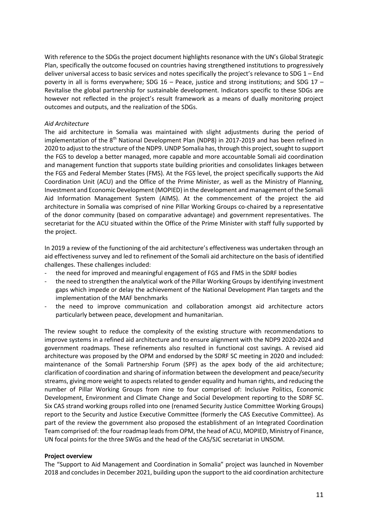With reference to the SDGs the project document highlights resonance with the UN's Global Strategic Plan, specifically the outcome focused on countries having strengthened institutions to progressively deliver universal access to basic services and notes specifically the project's relevance to SDG 1 – End poverty in all is forms everywhere; SDG 16 – Peace, justice and strong institutions; and SDG 17 – Revitalise the global partnership for sustainable development. Indicators specific to these SDGs are however not reflected in the project's result framework as a means of dually monitoring project outcomes and outputs, and the realization of the SDGs.

#### <span id="page-10-0"></span>*Aid Architecture*

The aid architecture in Somalia was maintained with slight adjustments during the period of implementation of the 8<sup>th</sup> National Development Plan (NDP8) in 2017-2019 and has been refined in 2020 to adjust to the structure of the NDP9. UNDP Somalia has, through this project, sought to support the FGS to develop a better managed, more capable and more accountable Somali aid coordination and management function that supports state building priorities and consolidates linkages between the FGS and Federal Member States (FMS). At the FGS level, the project specifically supports the Aid Coordination Unit (ACU) and the Office of the Prime Minister, as well as the Ministry of Planning, Investment and Economic Development (MOPIED) in the development and management of the Somali Aid Information Management System (AIMS). At the commencement of the project the aid architecture in Somalia was comprised of nine Pillar Working Groups co-chaired by a representative of the donor community (based on comparative advantage) and government representatives. The secretariat for the ACU situated within the Office of the Prime Minister with staff fully supported by the project.

In 2019 a review of the functioning of the aid architecture's effectiveness was undertaken through an aid effectiveness survey and led to refinement of the Somali aid architecture on the basis of identified challenges. These challenges included:

- the need for improved and meaningful engagement of FGS and FMS in the SDRF bodies
- the need to strengthen the analytical work of the Pillar Working Groups by identifying investment gaps which impede or delay the achievement of the National Development Plan targets and the implementation of the MAF benchmarks
- the need to improve communication and collaboration amongst aid architecture actors particularly between peace, development and humanitarian.

The review sought to reduce the complexity of the existing structure with recommendations to improve systems in a refined aid architecture and to ensure alignment with the NDP9 2020-2024 and government roadmaps. These refinements also resulted in functional cost savings. A revised aid architecture was proposed by the OPM and endorsed by the SDRF SC meeting in 2020 and included: maintenance of the Somali Partnership Forum (SPF) as the apex body of the aid architecture; clarification of coordination and sharing of information between the development and peace/security streams, giving more weight to aspects related to gender equality and human rights, and reducing the number of Pillar Working Groups from nine to four comprised of: Inclusive Politics, Economic Development, Environment and Climate Change and Social Development reporting to the SDRF SC. Six CAS strand working groups rolled into one (renamed Security Justice Committee Working Groups) report to the Security and Justice Executive Committee (formerly the CAS Executive Committee). As part of the review the government also proposed the establishment of an Integrated Coordination Team comprised of: the four roadmap leads from OPM, the head of ACU, MOPIED, Ministry of Finance, UN focal points for the three SWGs and the head of the CAS/SJC secretariat in UNSOM.

#### **Project overview**

The "Support to Aid Management and Coordination in Somalia" project was launched in November 2018 and concludes in December 2021, building upon the support to the aid coordination architecture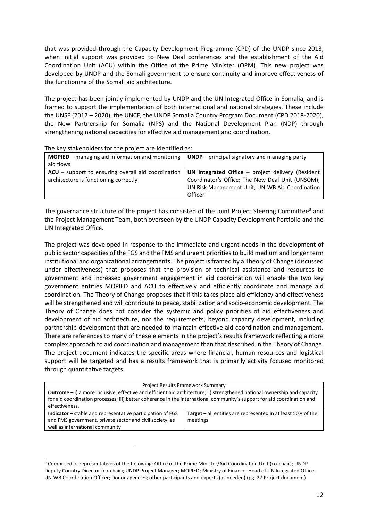that was provided through the Capacity Development Programme (CPD) of the UNDP since 2013, when initial support was provided to New Deal conferences and the establishment of the Aid Coordination Unit (ACU) within the Office of the Prime Minister (OPM). This new project was developed by UNDP and the Somali government to ensure continuity and improve effectiveness of the functioning of the Somali aid architecture.

The project has been jointly implemented by UNDP and the UN Integrated Office in Somalia, and is framed to support the implementation of both international and national strategies. These include the UNSF (2017 – 2020), the UNCF, the UNDP Somalia Country Program Document (CPD 2018-2020), the New Partnership for Somalia (NPS) and the National Development Plan (NDP) through strengthening national capacities for effective aid management and coordination.

| The Key Stakeholders for the project are identified as:                                     |                                                                                                                                                                       |  |  |  |
|---------------------------------------------------------------------------------------------|-----------------------------------------------------------------------------------------------------------------------------------------------------------------------|--|--|--|
| <b>MOPIED</b> – managing aid information and monitoring                                     | $UNDP$ – principal signatory and managing party                                                                                                                       |  |  |  |
| aid flows                                                                                   |                                                                                                                                                                       |  |  |  |
| ACU - support to ensuring overall aid coordination<br>architecture is functioning correctly | UN Integrated Office $-$ project delivery (Resident<br>Coordinator's Office; The New Deal Unit (UNSOM);<br>UN Risk Management Unit; UN-WB Aid Coordination<br>Officer |  |  |  |

The key stakeholders for the project are identified as:

The governance structure of the project has consisted of the Joint Project Steering Committee<sup>3</sup> and the Project Management Team, both overseen by the UNDP Capacity Development Portfolio and the UN Integrated Office.

The project was developed in response to the immediate and urgent needs in the development of public sector capacities of the FGS and the FMS and urgent priorities to build medium and longer term institutional and organizational arrangements. The project is framed by a Theory of Change (discussed under effectiveness) that proposes that the provision of technical assistance and resources to government and increased government engagement in aid coordination will enable the two key government entities MOPIED and ACU to effectively and efficiently coordinate and manage aid coordination. The Theory of Change proposes that if this takes place aid efficiency and effectiveness will be strengthened and will contribute to peace, stabilization and socio-economic development. The Theory of Change does not consider the systemic and policy priorities of aid effectiveness and development of aid architecture, nor the requirements, beyond capacity development, including partnership development that are needed to maintain effective aid coordination and management. There are references to many of these elements in the project's results framework reflecting a more complex approach to aid coordination and management than that described in the Theory of Change. The project document indicates the specific areas where financial, human resources and logistical support will be targeted and has a results framework that is primarily activity focused monitored through quantitative targets.

| Project Results Framework Summary                                                                                                   |  |  |  |  |  |
|-------------------------------------------------------------------------------------------------------------------------------------|--|--|--|--|--|
| <b>Outcome</b> $-$ i) a more inclusive, effective and efficient aid architecture; ii) strengthened national ownership and capacity  |  |  |  |  |  |
| for aid coordination processes; iii) better coherence in the international community's support for aid coordination and             |  |  |  |  |  |
| effectiveness.                                                                                                                      |  |  |  |  |  |
| Target $-$ all entities are represented in at least 50% of the<br><b>Indicator</b> – stable and representative participation of FGS |  |  |  |  |  |
| and FMS government, private sector and civil society, as<br>meetings                                                                |  |  |  |  |  |
| well as international community                                                                                                     |  |  |  |  |  |

<sup>&</sup>lt;sup>3</sup> Comprised of representatives of the following: Office of the Prime Minister/Aid Coordination Unit (co-chair); UNDP Deputy Country Director (co-chair); UNDP Project Manager; MOPIED; Ministry of Finance; Head of UN Integrated Office; UN-WB Coordination Officer; Donor agencies; other participants and experts (as needed) (pg. 27 Project document)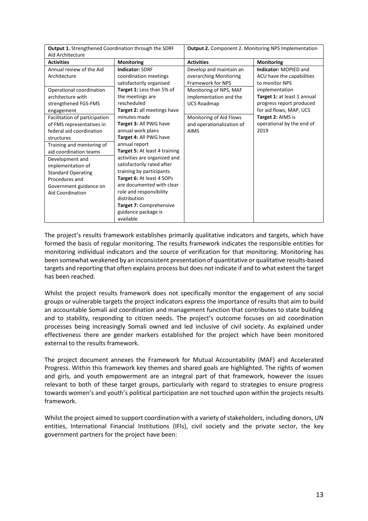| <b>Output 1.</b> Strengthened Coordination through the SDRF                                                                                                                                                                                                                                             |                                                                                                                                                                                                                                                                                                                                                                                                       | <b>Output 2.</b> Component 2. Monitoring NPS Implementation                                      |                                                                                        |  |
|---------------------------------------------------------------------------------------------------------------------------------------------------------------------------------------------------------------------------------------------------------------------------------------------------------|-------------------------------------------------------------------------------------------------------------------------------------------------------------------------------------------------------------------------------------------------------------------------------------------------------------------------------------------------------------------------------------------------------|--------------------------------------------------------------------------------------------------|----------------------------------------------------------------------------------------|--|
| Aid Architecture                                                                                                                                                                                                                                                                                        |                                                                                                                                                                                                                                                                                                                                                                                                       |                                                                                                  |                                                                                        |  |
| <b>Activities</b>                                                                                                                                                                                                                                                                                       | <b>Monitoring</b>                                                                                                                                                                                                                                                                                                                                                                                     | <b>Activities</b>                                                                                | Monitoring                                                                             |  |
| Annual review of the Aid<br>Architecture<br>Operational coordination                                                                                                                                                                                                                                    | <b>Indicator: SDRF</b><br>coordination meetings<br>satisfactorily organised<br>Target 1: Less than 5% of                                                                                                                                                                                                                                                                                              | Develop and maintain an<br>overarching Monitoring<br>Framework for NPS<br>Monitoring of NPS, MAF | Indicator: MOPIED and<br>ACU have the capabilities<br>to monitor NPS<br>implementation |  |
| architecture with<br>strengthened FGS-FMS<br>engagement                                                                                                                                                                                                                                                 | the meetings are<br>rescheduled<br>Target 2: all meetings have                                                                                                                                                                                                                                                                                                                                        | implementation and the<br><b>UCS Roadmap</b>                                                     | Target 1: at least 1 annual<br>progress report produced<br>for aid flows, MAP, UCS     |  |
| Facilitation of participation<br>of FMS representatives in<br>federal aid coordination<br>structures<br>Training and mentoring of<br>aid coordination teams<br>Development and<br>implementation of<br><b>Standard Operating</b><br>Procedures and<br>Government guidance on<br><b>Aid Coordination</b> | minutes made<br>Target 3: All PWG have<br>annual work plans<br>Target 4: All PWG have<br>annual report<br>Target 5: At least 4 training<br>activities are organized and<br>satisfactorily rated after<br>training by participants<br>Target 6: At least 4 SOPs<br>are documented with clear<br>role and responsibility<br>distribution<br>Target 7: Comprehensive<br>guidance package is<br>available | Monitoring of Aid Flows<br>and operationalization of<br><b>AIMS</b>                              | Target 2: AIMS is<br>operational by the end of<br>2019                                 |  |

The project's results framework establishes primarily qualitative indicators and targets, which have formed the basis of regular monitoring. The results framework indicates the responsible entities for monitoring individual indicators and the source of verification for that monitoring. Monitoring has been somewhat weakened by an inconsistent presentation of quantitative or qualitative results-based targets and reporting that often explains process but does not indicate if and to what extent the target has been reached.

Whilst the project results framework does not specifically monitor the engagement of any social groups or vulnerable targets the project indicators express the importance of results that aim to build an accountable Somali aid coordination and management function that contributes to state building and to stability, responding to citizen needs. The project's outcome focuses on aid coordination processes being increasingly Somali owned and led inclusive of civil society. As explained under effectiveness there are gender markers established for the project which have been monitored external to the results framework.

The project document annexes the Framework for Mutual Accountability (MAF) and Accelerated Progress. Within this framework key themes and shared goals are highlighted. The rights of women and girls, and youth empowerment are an integral part of that framework, however the issues relevant to both of these target groups, particularly with regard to strategies to ensure progress towards women's and youth's political participation are not touched upon within the projects results framework.

Whilst the project aimed to support coordination with a variety of stakeholders, including donors, UN entities, International Financial Institutions (IFIs), civil society and the private sector, the key government partners for the project have been: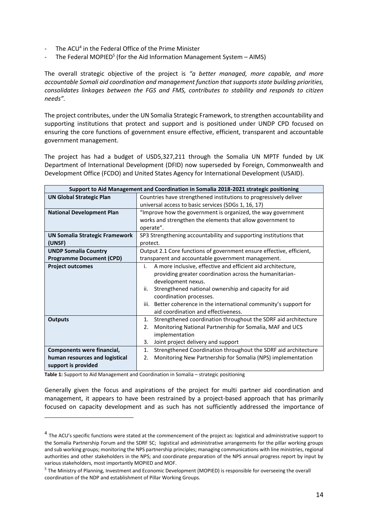- The ACU<sup>4</sup> in the Federal Office of the Prime Minister
- The Federal MOPIED<sup>5</sup> (for the Aid Information Management System AIMS)

The overall strategic objective of the project is *"a better managed, more capable, and more accountable Somali aid coordination and management function that supports state building priorities, consolidates linkages between the FGS and FMS, contributes to stability and responds to citizen needs".*

The project contributes, under the UN Somalia Strategic Framework, to strengthen accountability and supporting institutions that protect and support and is positioned under UNDP CPD focused on ensuring the core functions of government ensure effective, efficient, transparent and accountable government management.

The project has had a budget of USD5,327,211 through the Somalia UN MPTF funded by UK Department of International Development (DFID) now superseded by Foreign, Commonwealth and Development Office (FCDO) and United States Agency for International Development (USAID).

| Support to Aid Management and Coordination in Somalia 2018-2021 strategic positioning |                                                                      |  |  |  |  |
|---------------------------------------------------------------------------------------|----------------------------------------------------------------------|--|--|--|--|
| <b>UN Global Strategic Plan</b>                                                       | Countries have strengthened institutions to progressively deliver    |  |  |  |  |
|                                                                                       | universal access to basic services (SDGs 1, 16, 17)                  |  |  |  |  |
| <b>National Development Plan</b>                                                      | "Improve how the government is organized, the way government         |  |  |  |  |
|                                                                                       | works and strengthen the elements that allow government to           |  |  |  |  |
|                                                                                       | operate".                                                            |  |  |  |  |
| <b>UN Somalia Strategic Framework</b>                                                 | SP3 Strengthening accountability and supporting institutions that    |  |  |  |  |
| (UNSF)                                                                                | protect.                                                             |  |  |  |  |
| <b>UNDP Somalia Country</b>                                                           | Output 2.1 Core functions of government ensure effective, efficient, |  |  |  |  |
| <b>Programme Document (CPD)</b>                                                       | transparent and accountable government management.                   |  |  |  |  |
| <b>Project outcomes</b>                                                               | A more inclusive, effective and efficient aid architecture,<br>i.    |  |  |  |  |
|                                                                                       | providing greater coordination across the humanitarian-              |  |  |  |  |
|                                                                                       | development nexus.                                                   |  |  |  |  |
|                                                                                       | Strengthened national ownership and capacity for aid<br>ii.          |  |  |  |  |
|                                                                                       | coordination processes.                                              |  |  |  |  |
|                                                                                       | iii. Better coherence in the international community's support for   |  |  |  |  |
|                                                                                       | aid coordination and effectiveness.                                  |  |  |  |  |
| <b>Outputs</b>                                                                        | Strengthened coordination throughout the SDRF aid architecture<br>1. |  |  |  |  |
|                                                                                       | Monitoring National Partnership for Somalia, MAF and UCS<br>2.       |  |  |  |  |
|                                                                                       | implementation                                                       |  |  |  |  |
|                                                                                       | Joint project delivery and support<br>3.                             |  |  |  |  |
| Components were financial,                                                            | Strengthened Coordination throughout the SDRF aid architecture<br>1. |  |  |  |  |
| human resources and logistical                                                        | Monitoring New Partnership for Somalia (NPS) implementation<br>2.    |  |  |  |  |
| support is provided                                                                   |                                                                      |  |  |  |  |

**Table 1:** Support to Aid Management and Coordination in Somalia – strategic positioning

Generally given the focus and aspirations of the project for multi partner aid coordination and management, it appears to have been restrained by a project-based approach that has primarily focused on capacity development and as such has not sufficiently addressed the importance of

<sup>&</sup>lt;sup>4</sup> The ACU's specific functions were stated at the commencement of the project as: logistical and administrative support to the Somalia Partnership Forum and the SDRF SC; logistical and administrative arrangements for the pillar working groups and sub working groups; monitoring the NPS partnership principles; managing communications with line ministries, regional authorities and other stakeholders in the NPS; and coordinate preparation of the NPS annual progress report by input by various stakeholders, most importantly MOPIED and MOF.

<sup>&</sup>lt;sup>5</sup> The Ministry of Planning, Investment and Economic Development (MOPIED) is responsible for overseeing the overall coordination of the NDP and establishment of Pillar Working Groups.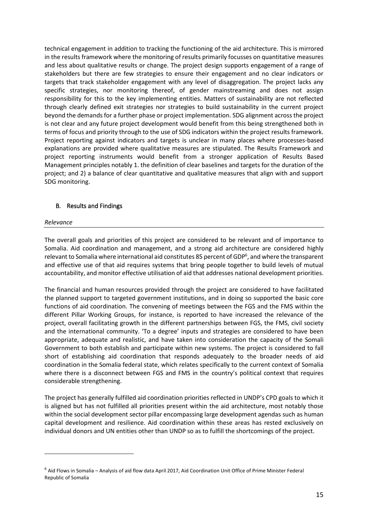technical engagement in addition to tracking the functioning of the aid architecture. This is mirrored in the results framework where the monitoring of results primarily focusses on quantitative measures and less about qualitative results or change. The project design supports engagement of a range of stakeholders but there are few strategies to ensure their engagement and no clear indicators or targets that track stakeholder engagement with any level of disaggregation. The project lacks any specific strategies, nor monitoring thereof, of gender mainstreaming and does not assign responsibility for this to the key implementing entities. Matters of sustainability are not reflected through clearly defined exit strategies nor strategies to build sustainability in the current project beyond the demands for a further phase or project implementation. SDG alignment across the project is not clear and any future project development would benefit from this being strengthened both in terms of focus and priority through to the use of SDG indicators within the project results framework. Project reporting against indicators and targets is unclear in many places where processes-based explanations are provided where qualitative measures are stipulated. The Results Framework and project reporting instruments would benefit from a stronger application of Results Based Management principles notably 1. the definition of clear baselines and targets for the duration of the project; and 2) a balance of clear quantitative and qualitative measures that align with and support SDG monitoring.

#### <span id="page-14-0"></span>B. Results and Findings

#### <span id="page-14-1"></span>*Relevance*

The overall goals and priorities of this project are considered to be relevant and of importance to Somalia. Aid coordination and management, and a strong aid architecture are considered highly relevant to Somalia where international aid constitutes 85 percent of GDP<sup>6</sup>, and where the transparent and effective use of that aid requires systems that bring people together to build levels of mutual accountability, and monitor effective utilisation of aid that addresses national development priorities.

The financial and human resources provided through the project are considered to have facilitated the planned support to targeted government institutions, and in doing so supported the basic core functions of aid coordination. The convening of meetings between the FGS and the FMS within the different Pillar Working Groups, for instance, is reported to have increased the relevance of the project, overall facilitating growth in the different partnerships between FGS, the FMS, civil society and the international community. 'To a degree' inputs and strategies are considered to have been appropriate, adequate and realistic, and have taken into consideration the capacity of the Somali Government to both establish and participate within new systems. The project is considered to fall short of establishing aid coordination that responds adequately to the broader needs of aid coordination in the Somalia federal state, which relates specifically to the current context of Somalia where there is a disconnect between FGS and FMS in the country's political context that requires considerable strengthening.

The project has generally fulfilled aid coordination priorities reflected in UNDP's CPD goals to which it is aligned but has not fulfilled all priorities present within the aid architecture, most notably those within the social development sector pillar encompassing large development agendas such as human capital development and resilience. Aid coordination within these areas has rested exclusively on individual donors and UN entities other than UNDP so as to fulfill the shortcomings of the project.

 $6$  Aid Flows in Somalia – Analysis of aid flow data April 2017, Aid Coordination Unit Office of Prime Minister Federal Republic of Somalia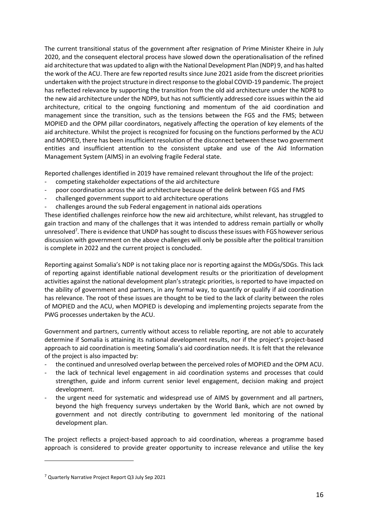The current transitional status of the government after resignation of Prime Minister Kheire in July 2020, and the consequent electoral process have slowed down the operationalisation of the refined aid architecture that was updated to align with the National Development Plan (NDP) 9, and has halted the work of the ACU. There are few reported results since June 2021 aside from the discreet priorities undertaken with the project structure in direct response to the global COVID-19 pandemic. The project has reflected relevance by supporting the transition from the old aid architecture under the NDP8 to the new aid architecture under the NDP9, but has not sufficiently addressed core issues within the aid architecture, critical to the ongoing functioning and momentum of the aid coordination and management since the transition, such as the tensions between the FGS and the FMS; between MOPIED and the OPM pillar coordinators, negatively affecting the operation of key elements of the aid architecture. Whilst the project is recognized for focusing on the functions performed by the ACU and MOPIED, there has been insufficient resolution of the disconnect between these two government entities and insufficient attention to the consistent uptake and use of the Aid Information Management System (AIMS) in an evolving fragile Federal state.

Reported challenges identified in 2019 have remained relevant throughout the life of the project:

- competing stakeholder expectations of the aid architecture
- poor coordination across the aid architecture because of the delink between FGS and FMS
- challenged government support to aid architecture operations
- challenges around the sub Federal engagement in national aids operations

These identified challenges reinforce how the new aid architecture, whilst relevant, has struggled to gain traction and many of the challenges that it was intended to address remain partially or wholly unresolved<sup>7</sup>. There is evidence that UNDP has sought to discuss these issues with FGS however serious discussion with government on the above challenges will only be possible after the political transition is complete in 2022 and the current project is concluded.

Reporting against Somalia's NDP is not taking place nor is reporting against the MDGs/SDGs. This lack of reporting against identifiable national development results or the prioritization of development activities against the national development plan's strategic priorities, is reported to have impacted on the ability of government and partners, in any formal way, to quantify or qualify if aid coordination has relevance. The root of these issues are thought to be tied to the lack of clarity between the roles of MOPIED and the ACU, when MOPIED is developing and implementing projects separate from the PWG processes undertaken by the ACU.

Government and partners, currently without access to reliable reporting, are not able to accurately determine if Somalia is attaining its national development results, nor if the project's project-based approach to aid coordination is meeting Somalia's aid coordination needs. It is felt that the relevance of the project is also impacted by:

- the continued and unresolved overlap between the perceived roles of MOPIED and the OPM ACU.
- the lack of technical level engagement in aid coordination systems and processes that could strengthen, guide and inform current senior level engagement, decision making and project development.
- the urgent need for systematic and widespread use of AIMS by government and all partners, beyond the high frequency surveys undertaken by the World Bank, which are not owned by government and not directly contributing to government led monitoring of the national development plan.

The project reflects a project-based approach to aid coordination, whereas a programme based approach is considered to provide greater opportunity to increase relevance and utilise the key

<sup>7</sup> Quarterly Narrative Project Report Q3 July Sep 2021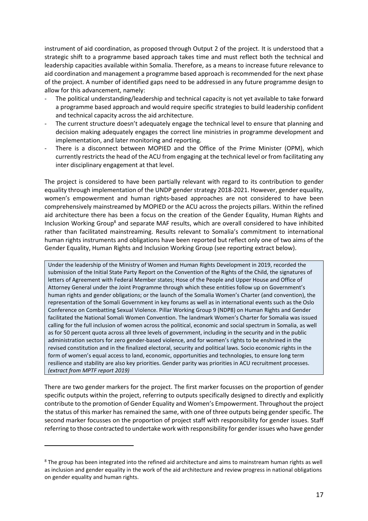instrument of aid coordination, as proposed through Output 2 of the project. It is understood that a strategic shift to a programme based approach takes time and must reflect both the technical and leadership capacities available within Somalia. Therefore, as a means to increase future relevance to aid coordination and management a programme based approach is recommended for the next phase of the project. A number of identified gaps need to be addressed in any future programme design to allow for this advancement, namely:

- The political understanding/leadership and technical capacity is not yet available to take forward a programme based approach and would require specific strategies to build leadership confident and technical capacity across the aid architecture.
- The current structure doesn't adequately engage the technical level to ensure that planning and decision making adequately engages the correct line ministries in programme development and implementation, and later monitoring and reporting.
- There is a disconnect between MOPIED and the Office of the Prime Minister (OPM), which currently restricts the head of the ACU from engaging at the technical level or from facilitating any inter disciplinary engagement at that level.

The project is considered to have been partially relevant with regard to its contribution to gender equality through implementation of the UNDP gender strategy 2018-2021. However, gender equality, women's empowerment and human rights-based approaches are not considered to have been comprehensively mainstreamed by MOPIED or the ACU across the projects pillars. Within the refined aid architecture there has been a focus on the creation of the Gender Equality, Human Rights and Inclusion Working Group<sup>8</sup> and separate MAF results, which are overall considered to have inhibited rather than facilitated mainstreaming. Results relevant to Somalia's commitment to international human rights instruments and obligations have been reported but reflect only one of two aims of the Gender Equality, Human Rights and Inclusion Working Group (see reporting extract below).

Under the leadership of the Ministry of Women and Human Rights Development in 2019, recorded the submission of the Initial State Party Report on the Convention of the Rights of the Child, the signatures of letters of Agreement with Federal Member states; Hose of the People and Upper House and Office of Attorney General under the Joint Programme through which these entities follow up on Government's human rights and gender obligations; or the launch of the Somalia Women's Charter (and convention), the representation of the Somali Government in key forums as well as in international events such as the Oslo Conference on Combatting Sexual Violence. Pillar Working Group 9 (NDP8) on Human Rights and Gender facilitated the National Somali Women Convention. The landmark Women's Charter for Somalia was issued calling for the full inclusion of women across the political, economic and social spectrum in Somalia, as well as for 50 percent quota across all three levels of government, including in the security and in the public administration sectors for zero gender-based violence, and for women's rights to be enshrined in the revised constitution and in the finalized electoral, security and political laws. Socio economic rights in the form of women's equal access to land, economic, opportunities and technologies, to ensure long term resilience and stability are also key priorities. Gender parity was priorities in ACU recruitment processes. *(extract from MPTF report 2019)*

There are two gender markers for the project. The first marker focusses on the proportion of gender specific outputs within the project, referring to outputs specifically designed to directly and explicitly contribute to the promotion of Gender Equality and Women's Empowerment. Throughout the project the status of this marker has remained the same, with one of three outputs being gender specific. The second marker focusses on the proportion of project staff with responsibility for gender issues. Staff referring to those contracted to undertake work with responsibility for gender issues who have gender

<sup>&</sup>lt;sup>8</sup> The group has been integrated into the refined aid architecture and aims to mainstream human rights as well as inclusion and gender equality in the work of the aid architecture and review progress in national obligations on gender equality and human rights.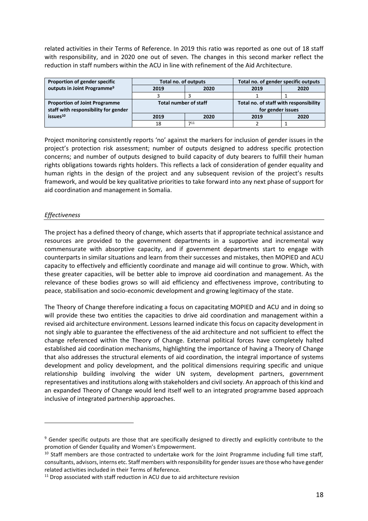related activities in their Terms of Reference. In 2019 this ratio was reported as one out of 18 staff with responsibility, and in 2020 one out of seven. The changes in this second marker reflect the reduction in staff numbers within the ACU in line with refinement of the Aid Architecture.

| Proportion of gender specific           | Total no. of outputs         |      | Total no. of gender specific outputs   |      |  |
|-----------------------------------------|------------------------------|------|----------------------------------------|------|--|
| outputs in Joint Programme <sup>9</sup> | 2019<br>2020                 |      | 2019                                   | 2020 |  |
|                                         |                              |      |                                        |      |  |
| <b>Proportion of Joint Programme</b>    | <b>Total number of staff</b> |      | Total no. of staff with responsibility |      |  |
| staff with responsibility for gender    |                              |      | for gender issues                      |      |  |
| is sues <sup>10</sup>                   | 2019                         | 2020 | 2019                                   | 2020 |  |
|                                         | 18                           | 711  |                                        |      |  |

Project monitoring consistently reports 'no' against the markers for inclusion of gender issues in the project's protection risk assessment; number of outputs designed to address specific protection concerns; and number of outputs designed to build capacity of duty bearers to fulfill their human rights obligations towards rights holders. This reflects a lack of consideration of gender equality and human rights in the design of the project and any subsequent revision of the project's results framework, and would be key qualitative priorities to take forward into any next phase of support for aid coordination and management in Somalia.

#### <span id="page-17-0"></span>*Effectiveness*

The project has a defined theory of change, which asserts that if appropriate technical assistance and resources are provided to the government departments in a supportive and incremental way commensurate with absorptive capacity, and if government departments start to engage with counterparts in similar situations and learn from their successes and mistakes, then MOPIED and ACU capacity to effectively and efficiently coordinate and manage aid will continue to grow. Which, with these greater capacities, will be better able to improve aid coordination and management. As the relevance of these bodies grows so will aid efficiency and effectiveness improve, contributing to peace, stabilisation and socio-economic development and growing legitimacy of the state.

The Theory of Change therefore indicating a focus on capacitating MOPIED and ACU and in doing so will provide these two entities the capacities to drive aid coordination and management within a revised aid architecture environment. Lessons learned indicate this focus on capacity development in not singly able to guarantee the effectiveness of the aid architecture and not sufficient to effect the change referenced within the Theory of Change. External political forces have completely halted established aid coordination mechanisms, highlighting the importance of having a Theory of Change that also addresses the structural elements of aid coordination, the integral importance of systems development and policy development, and the political dimensions requiring specific and unique relationship building involving the wider UN system, development partners, government representatives and institutions along with stakeholders and civil society. An approach of this kind and an expanded Theory of Change would lend itself well to an integrated programme based approach inclusive of integrated partnership approaches.

<sup>&</sup>lt;sup>9</sup> Gender specific outputs are those that are specifically designed to directly and explicitly contribute to the promotion of Gender Equality and Women's Empowerment.

 $10$  Staff members are those contracted to undertake work for the Joint Programme including full time staff, consultants, advisors, interns etc. Staff members with responsibility for gender issues are those who have gender related activities included in their Terms of Reference.

<sup>&</sup>lt;sup>11</sup> Drop associated with staff reduction in ACU due to aid architecture revision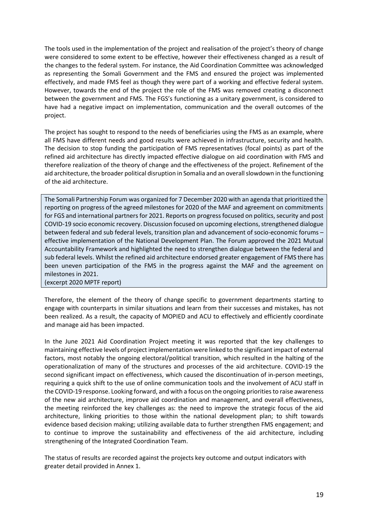The tools used in the implementation of the project and realisation of the project's theory of change were considered to some extent to be effective, however their effectiveness changed as a result of the changes to the federal system. For instance, the Aid Coordination Committee was acknowledged as representing the Somali Government and the FMS and ensured the project was implemented effectively, and made FMS feel as though they were part of a working and effective federal system. However, towards the end of the project the role of the FMS was removed creating a disconnect between the government and FMS. The FGS's functioning as a unitary government, is considered to have had a negative impact on implementation, communication and the overall outcomes of the project.

The project has sought to respond to the needs of beneficiaries using the FMS as an example, where all FMS have different needs and good results were achieved in infrastructure, security and health. The decision to stop funding the participation of FMS representatives (focal points) as part of the refined aid architecture has directly impacted effective dialogue on aid coordination with FMS and therefore realization of the theory of change and the effectiveness of the project. Refinement of the aid architecture, the broader political disruption in Somalia and an overall slowdown in the functioning of the aid architecture.

The Somali Partnership Forum was organized for 7 December 2020 with an agenda that prioritized the reporting on progress of the agreed milestones for 2020 of the MAF and agreement on commitments for FGS and international partners for 2021. Reports on progress focused on politics, security and post COVID-19 socio economic recovery. Discussion focused on upcoming elections, strengthened dialogue between federal and sub federal levels, transition plan and advancement of socio-economic forums – effective implementation of the National Development Plan. The Forum approved the 2021 Mutual Accountability Framework and highlighted the need to strengthen dialogue between the federal and sub federal levels. Whilst the refined aid architecture endorsed greater engagement of FMS there has been uneven participation of the FMS in the progress against the MAF and the agreement on milestones in 2021.

(excerpt 2020 MPTF report)

Therefore, the element of the theory of change specific to government departments starting to engage with counterparts in similar situations and learn from their successes and mistakes, has not been realized. As a result, the capacity of MOPIED and ACU to effectively and efficiently coordinate and manage aid has been impacted.

In the June 2021 Aid Coordination Project meeting it was reported that the key challenges to maintaining effective levels of project implementation were linked to the significant impact of external factors, most notably the ongoing electoral/political transition, which resulted in the halting of the operationalization of many of the structures and processes of the aid architecture. COVID-19 the second significant impact on effectiveness, which caused the discontinuation of in-person meetings, requiring a quick shift to the use of online communication tools and the involvement of ACU staff in the COVID-19 response. Looking forward, and with a focus on the ongoing priorities to raise awareness of the new aid architecture, improve aid coordination and management, and overall effectiveness, the meeting reinforced the key challenges as: the need to improve the strategic focus of the aid architecture, linking priorities to those within the national development plan; to shift towards evidence based decision making; utilizing available data to further strengthen FMS engagement; and to continue to improve the sustainability and effectiveness of the aid architecture, including strengthening of the Integrated Coordination Team.

The status of results are recorded against the projects key outcome and output indicators with greater detail provided in Annex 1.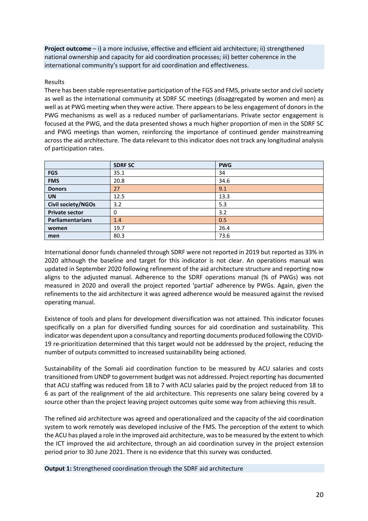**Project outcome** – i) a more inclusive, effective and efficient aid architecture; ii) strengthened national ownership and capacity for aid coordination processes; iii) better coherence in the international community's support for aid coordination and effectiveness.

#### Results

There has been stable representative participation of the FGS and FMS, private sector and civil society as well as the international community at SDRF SC meetings (disaggregated by women and men) as well as at PWG meeting when they were active. There appears to be less engagement of donors in the PWG mechanisms as well as a reduced number of parliamentarians. Private sector engagement is focused at the PWG, and the data presented shows a much higher proportion of men in the SDRF SC and PWG meetings than women, reinforcing the importance of continued gender mainstreaming across the aid architecture. The data relevant to this indicator does not track any longitudinal analysis of participation rates.

|                       | <b>SDRF SC</b> | <b>PWG</b> |
|-----------------------|----------------|------------|
| <b>FGS</b>            | 35.1           | 34         |
| <b>FMS</b>            | 20.8           | 34.6       |
| <b>Donors</b>         | 27             | 9.1        |
| <b>UN</b>             | 12.5           | 13.3       |
| Civil society/NGOs    | 3.2            | 5.3        |
| <b>Private sector</b> | 0              | 3.2        |
| Parliamentarians      | 1.4            | 0.5        |
| women                 | 19.7           | 26.4       |
| men                   | 80.3           | 73.6       |

International donor funds channeled through SDRF were not reported in 2019 but reported as 33% in 2020 although the baseline and target for this indicator is not clear. An operations manual was updated in September 2020 following refinement of the aid architecture structure and reporting now aligns to the adjusted manual. Adherence to the SDRF operations manual (% of PWGs) was not measured in 2020 and overall the project reported 'partial' adherence by PWGs. Again, given the refinements to the aid architecture it was agreed adherence would be measured against the revised operating manual.

Existence of tools and plans for development diversification was not attained. This indicator focuses specifically on a plan for diversified funding sources for aid coordination and sustainability. This indicator was dependent upon a consultancy and reporting documents produced following the COVID-19 re-prioritization determined that this target would not be addressed by the project, reducing the number of outputs committed to increased sustainability being actioned.

Sustainability of the Somali aid coordination function to be measured by ACU salaries and costs transitioned from UNDP to government budget was not addressed. Project reporting has documented that ACU staffing was reduced from 18 to 7 with ACU salaries paid by the project reduced from 18 to 6 as part of the realignment of the aid architecture. This represents one salary being covered by a source other than the project leaving project outcomes quite some way from achieving this result.

The refined aid architecture was agreed and operationalized and the capacity of the aid coordination system to work remotely was developed inclusive of the FMS. The perception of the extent to which the ACU has played a role in the improved aid architecture, was to be measured by the extent to which the ICT improved the aid architecture, through an aid coordination survey in the project extension period prior to 30 June 2021. There is no evidence that this survey was conducted.

**Output 1:** Strengthened coordination through the SDRF aid architecture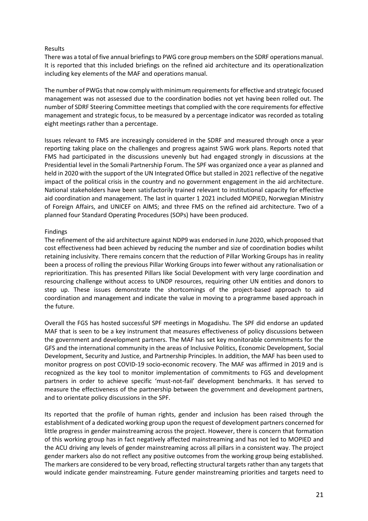#### Results

There was a total of five annual briefings to PWG core group members on the SDRF operations manual. It is reported that this included briefings on the refined aid architecture and its operationalization including key elements of the MAF and operations manual.

The number of PWGs that now comply with minimum requirements for effective and strategic focused management was not assessed due to the coordination bodies not yet having been rolled out. The number of SDRF Steering Committee meetings that complied with the core requirements for effective management and strategic focus, to be measured by a percentage indicator was recorded as totaling eight meetings rather than a percentage.

Issues relevant to FMS are increasingly considered in the SDRF and measured through once a year reporting taking place on the challenges and progress against SWG work plans. Reports noted that FMS had participated in the discussions unevenly but had engaged strongly in discussions at the Presidential level in the Somali Partnership Forum. The SPF was organized once a year as planned and held in 2020 with the support of the UN Integrated Office but stalled in 2021 reflective of the negative impact of the political crisis in the country and no government engagement in the aid architecture. National stakeholders have been satisfactorily trained relevant to institutional capacity for effective aid coordination and management. The last in quarter 1 2021 included MOPIED, Norwegian Ministry of Foreign Affairs, and UNICEF on AIMS; and three FMS on the refined aid architecture. Two of a planned four Standard Operating Procedures (SOPs) have been produced.

#### Findings

The refinement of the aid architecture against NDP9 was endorsed in June 2020, which proposed that cost effectiveness had been achieved by reducing the number and size of coordination bodies whilst retaining inclusivity. There remains concern that the reduction of Pillar Working Groups has in reality been a process of rolling the previous Pillar Working Groups into fewer without any rationalisation or reprioritization. This has presented Pillars like Social Development with very large coordination and resourcing challenge without access to UNDP resources, requiring other UN entities and donors to step up. These issues demonstrate the shortcomings of the project-based approach to aid coordination and management and indicate the value in moving to a programme based approach in the future.

Overall the FGS has hosted successful SPF meetings in Mogadishu. The SPF did endorse an updated MAF that is seen to be a key instrument that measures effectiveness of policy discussions between the government and development partners. The MAF has set key monitorable commitments for the GFS and the international community in the areas of Inclusive Politics, Economic Development, Social Development, Security and Justice, and Partnership Principles. In addition, the MAF has been used to monitor progress on post COVID-19 socio-economic recovery. The MAF was affirmed in 2019 and is recognized as the key tool to monitor implementation of commitments to FGS and development partners in order to achieve specific 'must-not-fail' development benchmarks. It has served to measure the effectiveness of the partnership between the government and development partners, and to orientate policy discussions in the SPF.

Its reported that the profile of human rights, gender and inclusion has been raised through the establishment of a dedicated working group upon the request of development partners concerned for little progress in gender mainstreaming across the project. However, there is concern that formation of this working group has in fact negatively affected mainstreaming and has not led to MOPIED and the ACU driving any levels of gender mainstreaming across all pillars in a consistent way. The project gender markers also do not reflect any positive outcomes from the working group being established. The markers are considered to be very broad, reflecting structural targets rather than any targets that would indicate gender mainstreaming. Future gender mainstreaming priorities and targets need to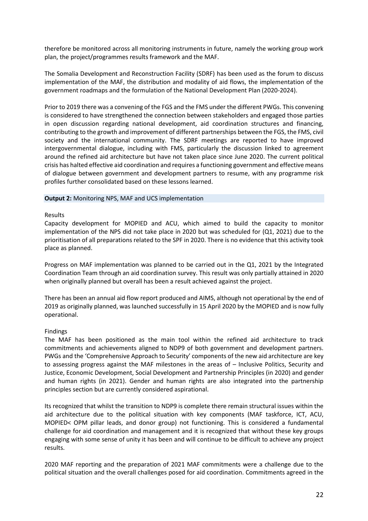therefore be monitored across all monitoring instruments in future, namely the working group work plan, the project/programmes results framework and the MAF.

The Somalia Development and Reconstruction Facility (SDRF) has been used as the forum to discuss implementation of the MAF, the distribution and modality of aid flows, the implementation of the government roadmaps and the formulation of the National Development Plan (2020-2024).

Prior to 2019 there was a convening of the FGS and the FMS under the different PWGs. This convening is considered to have strengthened the connection between stakeholders and engaged those parties in open discussion regarding national development, aid coordination structures and financing, contributing to the growth and improvement of different partnerships between the FGS, the FMS, civil society and the international community. The SDRF meetings are reported to have improved intergovernmental dialogue, including with FMS, particularly the discussion linked to agreement around the refined aid architecture but have not taken place since June 2020. The current political crisis has halted effective aid coordination and requires a functioning government and effective means of dialogue between government and development partners to resume, with any programme risk profiles further consolidated based on these lessons learned.

#### **Output 2:** Monitoring NPS, MAF and UCS implementation

#### Results

Capacity development for MOPIED and ACU, which aimed to build the capacity to monitor implementation of the NPS did not take place in 2020 but was scheduled for (Q1, 2021) due to the prioritisation of all preparations related to the SPF in 2020. There is no evidence that this activity took place as planned.

Progress on MAF implementation was planned to be carried out in the Q1, 2021 by the Integrated Coordination Team through an aid coordination survey. This result was only partially attained in 2020 when originally planned but overall has been a result achieved against the project.

There has been an annual aid flow report produced and AIMS, although not operational by the end of 2019 as originally planned, was launched successfully in 15 April 2020 by the MOPIED and is now fully operational.

#### Findings

The MAF has been positioned as the main tool within the refined aid architecture to track commitments and achievements aligned to NDP9 of both government and development partners. PWGs and the 'Comprehensive Approach to Security' components of the new aid architecture are key to assessing progress against the MAF milestones in the areas of – Inclusive Politics, Security and Justice, Economic Development, Social Development and Partnership Principles (in 2020) and gender and human rights (in 2021). Gender and human rights are also integrated into the partnership principles section but are currently considered aspirational.

Its recognized that whilst the transition to NDP9 is complete there remain structural issues within the aid architecture due to the political situation with key components (MAF taskforce, ICT, ACU, MOPIED< OPM pillar leads, and donor group) not functioning. This is considered a fundamental challenge for aid coordination and management and it is recognized that without these key groups engaging with some sense of unity it has been and will continue to be difficult to achieve any project results.

2020 MAF reporting and the preparation of 2021 MAF commitments were a challenge due to the political situation and the overall challenges posed for aid coordination. Commitments agreed in the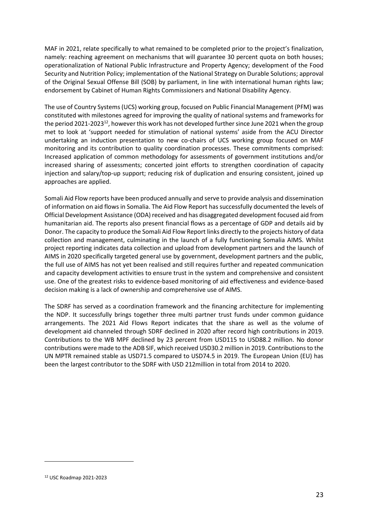MAF in 2021, relate specifically to what remained to be completed prior to the project's finalization, namely: reaching agreement on mechanisms that will guarantee 30 percent quota on both houses; operationalization of National Public Infrastructure and Property Agency; development of the Food Security and Nutrition Policy; implementation of the National Strategy on Durable Solutions; approval of the Original Sexual Offense Bill (SOB) by parliament, in line with international human rights law; endorsement by Cabinet of Human Rights Commissioners and National Disability Agency.

The use of Country Systems (UCS) working group, focused on Public Financial Management (PFM) was constituted with milestones agreed for improving the quality of national systems and frameworks for the period 2021-2023<sup>12</sup>, however this work has not developed further since June 2021 when the group met to look at 'support needed for stimulation of national systems' aside from the ACU Director undertaking an induction presentation to new co-chairs of UCS working group focused on MAF monitoring and its contribution to quality coordination processes. These commitments comprised: Increased application of common methodology for assessments of government institutions and/or increased sharing of assessments; concerted joint efforts to strengthen coordination of capacity injection and salary/top-up support; reducing risk of duplication and ensuring consistent, joined up approaches are applied.

Somali Aid Flow reports have been produced annually and serve to provide analysis and dissemination of information on aid flows in Somalia. The Aid Flow Report has successfully documented the levels of Official Development Assistance (ODA) received and has disaggregated development focused aid from humanitarian aid. The reports also present financial flows as a percentage of GDP and details aid by Donor. The capacity to produce the Somali Aid Flow Report links directly to the projects history of data collection and management, culminating in the launch of a fully functioning Somalia AIMS. Whilst project reporting indicates data collection and upload from development partners and the launch of AIMS in 2020 specifically targeted general use by government, development partners and the public, the full use of AIMS has not yet been realised and still requires further and repeated communication and capacity development activities to ensure trust in the system and comprehensive and consistent use. One of the greatest risks to evidence-based monitoring of aid effectiveness and evidence-based decision making is a lack of ownership and comprehensive use of AIMS.

The SDRF has served as a coordination framework and the financing architecture for implementing the NDP. It successfully brings together three multi partner trust funds under common guidance arrangements. The 2021 Aid Flows Report indicates that the share as well as the volume of development aid channeled through SDRF declined in 2020 after record high contributions in 2019. Contributions to the WB MPF declined by 23 percent from USD115 to USD88.2 million. No donor contributions were made to the ADB SIF, which received USD30.2 million in 2019. Contributions to the UN MPTR remained stable as USD71.5 compared to USD74.5 in 2019. The European Union (EU) has been the largest contributor to the SDRF with USD 212million in total from 2014 to 2020.

<sup>12</sup> USC Roadmap 2021-2023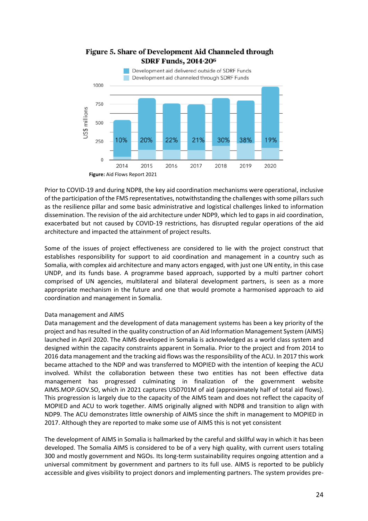

### Figure 5. Share of Development Aid Channeled through **SDRF Funds, 2014-206**

Prior to COVID-19 and during NDP8, the key aid coordination mechanisms were operational, inclusive of the participation of the FMS representatives, notwithstanding the challenges with some pillars such as the resilience pillar and some basic administrative and logistical challenges linked to information dissemination. The revision of the aid architecture under NDP9, which led to gaps in aid coordination, exacerbated but not caused by COVID-19 restrictions, has disrupted regular operations of the aid architecture and impacted the attainment of project results.

Some of the issues of project effectiveness are considered to lie with the project construct that establishes responsibility for support to aid coordination and management in a country such as Somalia, with complex aid architecture and many actors engaged, with just one UN entity, in this case UNDP, and its funds base. A programme based approach, supported by a multi partner cohort comprised of UN agencies, multilateral and bilateral development partners, is seen as a more appropriate mechanism in the future and one that would promote a harmonised approach to aid coordination and management in Somalia.

#### Data management and AIMS

Data management and the development of data management systems has been a key priority of the project and has resulted in the quality construction of an Aid Information Management System (AIMS) launched in April 2020. The AIMS developed in Somalia is acknowledged as a world class system and designed within the capacity constraints apparent in Somalia. Prior to the project and from 2014 to 2016 data management and the tracking aid flows was the responsibility of the ACU. In 2017 this work became attached to the NDP and was transferred to MOPIED with the intention of keeping the ACU involved. Whilst the collaboration between these two entities has not been effective data management has progressed culminating in finalization of the government website AIMS.MOP.GOV.SO, which in 2021 captures USD701M of aid (approximately half of total aid flows). This progression is largely due to the capacity of the AIMS team and does not reflect the capacity of MOPIED and ACU to work together. AIMS originally aligned with NDP8 and transition to align with NDP9. The ACU demonstrates little ownership of AIMS since the shift in management to MOPIED in 2017. Although they are reported to make some use of AIMS this is not yet consistent

The development of AIMS in Somalia is hallmarked by the careful and skillful way in which it has been developed. The Somalia AIMS is considered to be of a very high quality, with current users totaling 300 and mostly government and NGOs. Its long-term sustainability requires ongoing attention and a universal commitment by government and partners to its full use. AIMS is reported to be publicly accessible and gives visibility to project donors and implementing partners. The system provides pre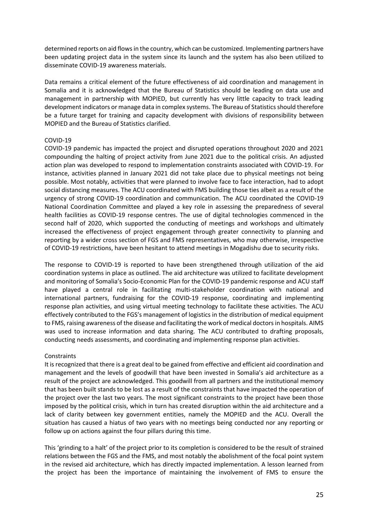determined reports on aid flows in the country, which can be customized. Implementing partners have been updating project data in the system since its launch and the system has also been utilized to disseminate COVID-19 awareness materials.

Data remains a critical element of the future effectiveness of aid coordination and management in Somalia and it is acknowledged that the Bureau of Statistics should be leading on data use and management in partnership with MOPIED, but currently has very little capacity to track leading development indicators or manage data in complex systems. The Bureau of Statistics should therefore be a future target for training and capacity development with divisions of responsibility between MOPIED and the Bureau of Statistics clarified.

#### COVID-19

COVID-19 pandemic has impacted the project and disrupted operations throughout 2020 and 2021 compounding the halting of project activity from June 2021 due to the political crisis. An adjusted action plan was developed to respond to implementation constraints associated with COVID-19. For instance, activities planned in January 2021 did not take place due to physical meetings not being possible. Most notably, activities that were planned to involve face to face interaction, had to adopt social distancing measures. The ACU coordinated with FMS building those ties albeit as a result of the urgency of strong COVID-19 coordination and communication. The ACU coordinated the COVID-19 National Coordination Committee and played a key role in assessing the preparedness of several health facilities as COVID-19 response centres. The use of digital technologies commenced in the second half of 2020, which supported the conducting of meetings and workshops and ultimately increased the effectiveness of project engagement through greater connectivity to planning and reporting by a wider cross section of FGS and FMS representatives, who may otherwise, irrespective of COVID-19 restrictions, have been hesitant to attend meetings in Mogadishu due to security risks.

The response to COVID-19 is reported to have been strengthened through utilization of the aid coordination systems in place as outlined. The aid architecture was utilized to facilitate development and monitoring of Somalia's Socio-Economic Plan for the COVID-19 pandemic response and ACU staff have played a central role in facilitating multi-stakeholder coordination with national and international partners, fundraising for the COVID-19 response, coordinating and implementing response plan activities, and using virtual meeting technology to facilitate these activities. The ACU effectively contributed to the FGS's management of logistics in the distribution of medical equipment to FMS, raising awareness of the disease and facilitating the work of medical doctors in hospitals. AIMS was used to increase information and data sharing. The ACU contributed to drafting proposals, conducting needs assessments, and coordinating and implementing response plan activities.

#### Constraints

It is recognized that there is a great deal to be gained from effective and efficient aid coordination and management and the levels of goodwill that have been invested in Somalia's aid architecture as a result of the project are acknowledged. This goodwill from all partners and the institutional memory that has been built stands to be lost as a result of the constraints that have impacted the operation of the project over the last two years. The most significant constraints to the project have been those imposed by the political crisis, which in turn has created disruption within the aid architecture and a lack of clarity between key government entities, namely the MOPIED and the ACU. Overall the situation has caused a hiatus of two years with no meetings being conducted nor any reporting or follow up on actions against the four pillars during this time.

This 'grinding to a halt' of the project prior to its completion is considered to be the result of strained relations between the FGS and the FMS, and most notably the abolishment of the focal point system in the revised aid architecture, which has directly impacted implementation. A lesson learned from the project has been the importance of maintaining the involvement of FMS to ensure the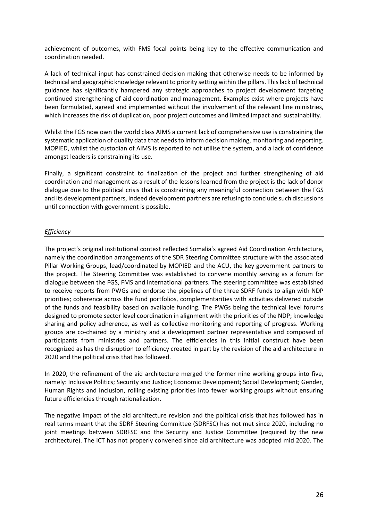achievement of outcomes, with FMS focal points being key to the effective communication and coordination needed.

A lack of technical input has constrained decision making that otherwise needs to be informed by technical and geographic knowledge relevant to priority setting within the pillars. This lack of technical guidance has significantly hampered any strategic approaches to project development targeting continued strengthening of aid coordination and management. Examples exist where projects have been formulated, agreed and implemented without the involvement of the relevant line ministries, which increases the risk of duplication, poor project outcomes and limited impact and sustainability.

Whilst the FGS now own the world class AIMS a current lack of comprehensive use is constraining the systematic application of quality data that needs to inform decision making, monitoring and reporting. MOPIED, whilst the custodian of AIMS is reported to not utilise the system, and a lack of confidence amongst leaders is constraining its use.

Finally, a significant constraint to finalization of the project and further strengthening of aid coordination and management as a result of the lessons learned from the project is the lack of donor dialogue due to the political crisis that is constraining any meaningful connection between the FGS and its development partners, indeed development partners are refusing to conclude such discussions until connection with government is possible.

#### <span id="page-25-0"></span>*Efficiency*

The project's original institutional context reflected Somalia's agreed Aid Coordination Architecture, namely the coordination arrangements of the SDR Steering Committee structure with the associated Pillar Working Groups, lead/coordinated by MOPIED and the ACU, the key government partners to the project. The Steering Committee was established to convene monthly serving as a forum for dialogue between the FGS, FMS and international partners. The steering committee was established to receive reports from PWGs and endorse the pipelines of the three SDRF funds to align with NDP priorities; coherence across the fund portfolios, complementarities with activities delivered outside of the funds and feasibility based on available funding. The PWGs being the technical level forums designed to promote sector level coordination in alignment with the priorities of the NDP; knowledge sharing and policy adherence, as well as collective monitoring and reporting of progress. Working groups are co-chaired by a ministry and a development partner representative and composed of participants from ministries and partners. The efficiencies in this initial construct have been recognized as has the disruption to efficiency created in part by the revision of the aid architecture in 2020 and the political crisis that has followed.

In 2020, the refinement of the aid architecture merged the former nine working groups into five, namely: Inclusive Politics; Security and Justice; Economic Development; Social Development; Gender, Human Rights and Inclusion, rolling existing priorities into fewer working groups without ensuring future efficiencies through rationalization.

The negative impact of the aid architecture revision and the political crisis that has followed has in real terms meant that the SDRF Steering Committee (SDRFSC) has not met since 2020, including no joint meetings between SDRFSC and the Security and Justice Committee (required by the new architecture). The ICT has not properly convened since aid architecture was adopted mid 2020. The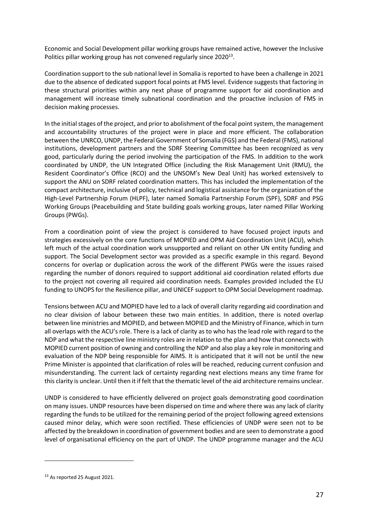Economic and Social Development pillar working groups have remained active, however the Inclusive Politics pillar working group has not convened regularly since 2020 $^{13}$ .

Coordination support to the sub national level in Somalia is reported to have been a challenge in 2021 due to the absence of dedicated support focal points at FMS level. Evidence suggests that factoring in these structural priorities within any next phase of programme support for aid coordination and management will increase timely subnational coordination and the proactive inclusion of FMS in decision making processes.

In the initial stages of the project, and prior to abolishment of the focal point system, the management and accountability structures of the project were in place and more efficient. The collaboration between the UNRCO, UNDP, the Federal Government of Somalia (FGS) and the Federal (FMS), national institutions, development partners and the SDRF Steering Committee has been recognized as very good, particularly during the period involving the participation of the FMS. In addition to the work coordinated by UNDP, the UN Integrated Office (including the Risk Management Unit (RMU), the Resident Coordinator's Office (RCO) and the UNSOM's New Deal Unit) has worked extensively to support the ANU on SDRF related coordination matters. This has included the implementation of the compact architecture, inclusive of policy, technical and logistical assistance for the organization of the High-Level Partnership Forum (HLPF), later named Somalia Partnership Forum (SPF), SDRF and PSG Working Groups (Peacebuilding and State building goals working groups, later named Pillar Working Groups (PWGs).

From a coordination point of view the project is considered to have focused project inputs and strategies excessively on the core functions of MOPIED and OPM Aid Coordination Unit (ACU), which left much of the actual coordination work unsupported and reliant on other UN entity funding and support. The Social Development sector was provided as a specific example in this regard. Beyond concerns for overlap or duplication across the work of the different PWGs were the issues raised regarding the number of donors required to support additional aid coordination related efforts due to the project not covering all required aid coordination needs. Examples provided included the EU funding to UNOPS for the Resilience pillar, and UNICEF support to OPM Social Development roadmap.

Tensions between ACU and MOPIED have led to a lack of overall clarity regarding aid coordination and no clear division of labour between these two main entities. In addition, there is noted overlap between line ministries and MOPIED, and between MOPIED and the Ministry of Finance, which in turn all overlaps with the ACU's role. There is a lack of clarity as to who has the lead role with regard to the NDP and what the respective line ministry roles are in relation to the plan and how that connects with MOPIED current position of owning and controlling the NDP and also play a key role in monitoring and evaluation of the NDP being responsible for AIMS. It is anticipated that it will not be until the new Prime Minister is appointed that clarification of roles will be reached, reducing current confusion and misunderstanding. The current lack of certainty regarding next elections means any time frame for this clarity is unclear. Until then it if felt that the thematic level of the aid architecture remains unclear.

UNDP is considered to have efficiently delivered on project goals demonstrating good coordination on many issues. UNDP resources have been dispersed on time and where there was any lack of clarity regarding the funds to be utilized for the remaining period of the project following agreed extensions caused minor delay, which were soon rectified. These efficiencies of UNDP were seen not to be affected by the breakdown in coordination of government bodies and are seen to demonstrate a good level of organisational efficiency on the part of UNDP. The UNDP programme manager and the ACU

<sup>13</sup> As reported 25 August 2021.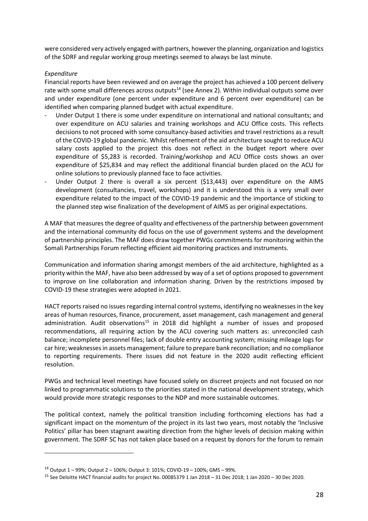were considered very actively engaged with partners, however the planning, organization and logistics of the SDRF and regular working group meetings seemed to always be last minute.

#### *Expenditure*

Financial reports have been reviewed and on average the project has achieved a 100 percent delivery rate with some small differences across outputs<sup>14</sup> (see Annex 2). Within individual outputs some over and under expenditure (one percent under expenditure and 6 percent over expenditure) can be identified when comparing planned budget with actual expenditure.

- Under Output 1 there is some under expenditure on international and national consultants; and over expenditure on ACU salaries and training workshops and ACU Office costs. This reflects decisions to not proceed with some consultancy-based activities and travel restrictions as a result of the COVID-19 global pandemic. Whilst refinement of the aid architecture sought to reduce ACU salary costs applied to the project this does not reflect in the budget report where over expenditure of \$5,283 is recorded. Training/workshop and ACU Office costs shows an over expenditure of \$25,834 and may reflect the additional financial burden placed on the ACU for online solutions to previously planned face to face activities.
- Under Output 2 there is overall a six percent (\$13,443) over expenditure on the AIMS development (consultancies, travel, workshops) and it is understood this is a very small over expenditure related to the impact of the COVID-19 pandemic and the importance of sticking to the planned step wise finalization of the development of AIMS as per original expectations.

A MAF that measures the degree of quality and effectiveness of the partnership between government and the international community did focus on the use of government systems and the development of partnership principles. The MAF does draw together PWGs commitments for monitoring within the Somali Partnerships Forum reflecting efficient aid monitoring practices and instruments.

Communication and information sharing amongst members of the aid architecture, highlighted as a priority within the MAF, have also been addressed by way of a set of options proposed to government to improve on line collaboration and information sharing. Driven by the restrictions imposed by COVID-19 these strategies were adopted in 2021.

HACT reports raised no issues regarding internal control systems, identifying no weaknesses in the key areas of human resources, finance, procurement, asset management, cash management and general administration. Audit observations<sup>15</sup> in 2018 did highlight a number of issues and proposed recommendations, all requiring action by the ACU covering such matters as: unreconciled cash balance; incomplete personnel files; lack of double entry accounting system; missing mileage logs for car hire; weaknesses in assets management; failure to prepare bank reconciliation; and no compliance to reporting requirements. There issues did not feature in the 2020 audit reflecting efficient resolution.

PWGs and technical level meetings have focused solely on discreet projects and not focused on nor linked to programmatic solutions to the priorities stated in the national development strategy, which would provide more strategic responses to the NDP and more sustainable outcomes.

The political context, namely the political transition including forthcoming elections has had a significant impact on the momentum of the project in its last two years, most notably the 'Inclusive Politics' pillar has been stagnant awaiting direction from the higher levels of decision making within government. The SDRF SC has not taken place based on a request by donors for the forum to remain

<sup>14</sup> Output 1 – 99%; Output 2 – 106%; Output 3: 101%; COVID-19 – 100%; GMS – 99%.

<sup>15</sup> See Deloitte HACT financial audits for project No. 00085379 1 Jan 2018 – 31 Dec 2018; 1 Jan 2020 – 30 Dec 2020.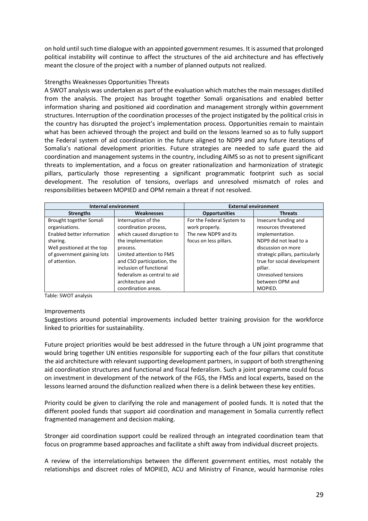on hold until such time dialogue with an appointed government resumes. It is assumed that prolonged political instability will continue to affect the structures of the aid architecture and has effectively meant the closure of the project with a number of planned outputs not realized.

#### Strengths Weaknesses Opportunities Threats

A SWOT analysis was undertaken as part of the evaluation which matches the main messages distilled from the analysis. The project has brought together Somali organisations and enabled better information sharing and positioned aid coordination and management strongly within government structures. Interruption of the coordination processes of the project instigated by the political crisis in the country has disrupted the project's implementation process. Opportunities remain to maintain what has been achieved through the project and build on the lessons learned so as to fully support the Federal system of aid coordination in the future aligned to NDP9 and any future iterations of Somalia's national development priorities. Future strategies are needed to safe guard the aid coordination and management systems in the country, including AIMS so as not to present significant threats to implementation, and a focus on greater rationalization and harmonization of strategic pillars, particularly those representing a significant programmatic footprint such as social development. The resolution of tensions, overlaps and unresolved mismatch of roles and responsibilities between MOPIED and OPM remain a threat if not resolved.

| <b>Internal environment</b> |                              | <b>External environment</b>            |                                 |  |  |
|-----------------------------|------------------------------|----------------------------------------|---------------------------------|--|--|
| <b>Strengths</b>            | <b>Weaknesses</b>            | <b>Opportunities</b><br><b>Threats</b> |                                 |  |  |
| Brought together Somali     | Interruption of the          | For the Federal System to              | Insecure funding and            |  |  |
| organisations.              | coordination process,        | work properly.                         | resources threatened            |  |  |
| Enabled better information  | which caused disruption to   | The new NDP9 and its                   | implementation.                 |  |  |
| sharing.                    | the implementation           | focus on less pillars.                 | NDP9 did not lead to a          |  |  |
| Well positioned at the top  | process.                     |                                        | discussion on more              |  |  |
| of government gaining lots  | Limited attention to FMS     |                                        | strategic pillars, particularly |  |  |
| of attention.               | and CSO participation, the   |                                        | true for social development     |  |  |
|                             | inclusion of functional      |                                        | pillar.                         |  |  |
|                             | federalism as central to aid |                                        | Unresolved tensions             |  |  |
|                             | architecture and             |                                        | between OPM and                 |  |  |
|                             | coordination areas.          |                                        | MOPIED.                         |  |  |

Table: SWOT analysis

#### Improvements

Suggestions around potential improvements included better training provision for the workforce linked to priorities for sustainability.

Future project priorities would be best addressed in the future through a UN joint programme that would bring together UN entities responsible for supporting each of the four pillars that constitute the aid architecture with relevant supporting development partners, in support of both strengthening aid coordination structures and functional and fiscal federalism. Such a joint programme could focus on investment in development of the network of the FGS, the FMSs and local experts, based on the lessons learned around the disfunction realized when there is a delink between these key entities.

Priority could be given to clarifying the role and management of pooled funds. It is noted that the different pooled funds that support aid coordination and management in Somalia currently reflect fragmented management and decision making.

Stronger aid coordination support could be realized through an integrated coordination team that focus on programme based approaches and facilitate a shift away from individual discreet projects.

A review of the interrelationships between the different government entities, most notably the relationships and discreet roles of MOPIED, ACU and Ministry of Finance, would harmonise roles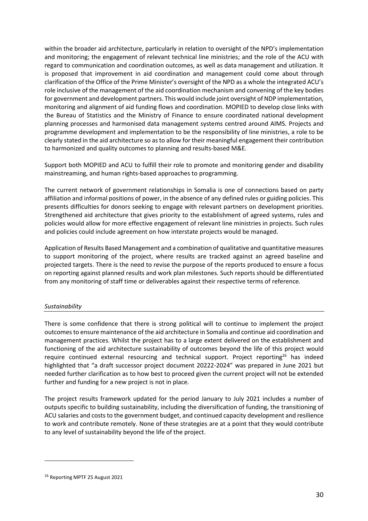within the broader aid architecture, particularly in relation to oversight of the NPD's implementation and monitoring; the engagement of relevant technical line ministries; and the role of the ACU with regard to communication and coordination outcomes, as well as data management and utilization. It is proposed that improvement in aid coordination and management could come about through clarification of the Office of the Prime Minister's oversight of the NPD as a whole the integrated ACU's role inclusive of the management of the aid coordination mechanism and convening of the key bodies for government and development partners. This would include joint oversight of NDP implementation, monitoring and alignment of aid funding flows and coordination. MOPIED to develop close links with the Bureau of Statistics and the Ministry of Finance to ensure coordinated national development planning processes and harmonised data management systems centred around AIMS. Projects and programme development and implementation to be the responsibility of line ministries, a role to be clearly stated in the aid architecture so asto allow for their meaningful engagement their contribution to harmonized and quality outcomes to planning and results-based M&E.

Support both MOPIED and ACU to fulfill their role to promote and monitoring gender and disability mainstreaming, and human rights-based approaches to programming.

The current network of government relationships in Somalia is one of connections based on party affiliation and informal positions of power, in the absence of any defined rules or guiding policies. This presents difficulties for donors seeking to engage with relevant partners on development priorities. Strengthened aid architecture that gives priority to the establishment of agreed systems, rules and policies would allow for more effective engagement of relevant line ministries in projects. Such rules and policies could include agreement on how interstate projects would be managed.

Application of Results Based Management and a combination of qualitative and quantitative measures to support monitoring of the project, where results are tracked against an agreed baseline and projected targets. There is the need to revise the purpose of the reports produced to ensure a focus on reporting against planned results and work plan milestones. Such reports should be differentiated from any monitoring of staff time or deliverables against their respective terms of reference.

#### <span id="page-29-0"></span>*Sustainability*

There is some confidence that there is strong political will to continue to implement the project outcomes to ensure maintenance of the aid architecture in Somalia and continue aid coordination and management practices. Whilst the project has to a large extent delivered on the establishment and functioning of the aid architecture sustainability of outcomes beyond the life of this project would require continued external resourcing and technical support. Project reporting<sup>16</sup> has indeed highlighted that "a draft successor project document 20222-2024" was prepared in June 2021 but needed further clarification as to how best to proceed given the current project will not be extended further and funding for a new project is not in place.

The project results framework updated for the period January to July 2021 includes a number of outputs specific to building sustainability, including the diversification of funding, the transitioning of ACU salaries and costs to the government budget, and continued capacity development and resilience to work and contribute remotely. None of these strategies are at a point that they would contribute to any level of sustainability beyond the life of the project.

<sup>16</sup> Reporting MPTF 25 August 2021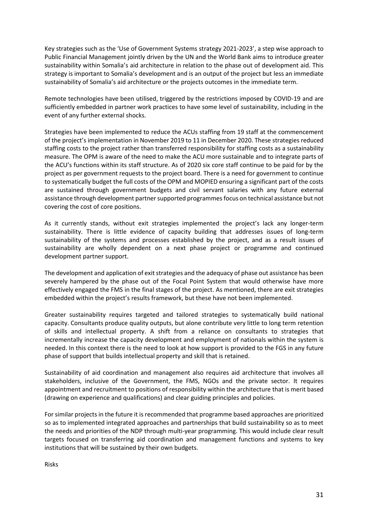Key strategies such as the 'Use of Government Systems strategy 2021-2023', a step wise approach to Public Financial Management jointly driven by the UN and the World Bank aims to introduce greater sustainability within Somalia's aid architecture in relation to the phase out of development aid. This strategy is important to Somalia's development and is an output of the project but less an immediate sustainability of Somalia's aid architecture or the projects outcomes in the immediate term.

Remote technologies have been utilised, triggered by the restrictions imposed by COVID-19 and are sufficiently embedded in partner work practices to have some level of sustainability, including in the event of any further external shocks.

Strategies have been implemented to reduce the ACUs staffing from 19 staff at the commencement of the project's implementation in November 2019 to 11 in December 2020. These strategies reduced staffing costs to the project rather than transferred responsibility for staffing costs as a sustainability measure. The OPM is aware of the need to make the ACU more sustainable and to integrate parts of the ACU's functions within its staff structure. As of 2020 six core staff continue to be paid for by the project as per government requests to the project board. There is a need for government to continue to systematically budget the full costs of the OPM and MOPIED ensuring a significant part of the costs are sustained through government budgets and civil servant salaries with any future external assistance through development partner supported programmes focus on technical assistance but not covering the cost of core positions.

As it currently stands, without exit strategies implemented the project's lack any longer-term sustainability. There is little evidence of capacity building that addresses issues of long-term sustainability of the systems and processes established by the project, and as a result issues of sustainability are wholly dependent on a next phase project or programme and continued development partner support.

The development and application of exit strategies and the adequacy of phase out assistance has been severely hampered by the phase out of the Focal Point System that would otherwise have more effectively engaged the FMS in the final stages of the project. As mentioned, there are exit strategies embedded within the project's results framework, but these have not been implemented.

Greater sustainability requires targeted and tailored strategies to systematically build national capacity. Consultants produce quality outputs, but alone contribute very little to long term retention of skills and intellectual property. A shift from a reliance on consultants to strategies that incrementally increase the capacity development and employment of nationals within the system is needed. In this context there is the need to look at how support is provided to the FGS in any future phase of support that builds intellectual property and skill that is retained.

Sustainability of aid coordination and management also requires aid architecture that involves all stakeholders, inclusive of the Government, the FMS, NGOs and the private sector. It requires appointment and recruitment to positions of responsibility within the architecture that is merit based (drawing on experience and qualifications) and clear guiding principles and policies.

For similar projects in the future it isrecommended that programme based approaches are prioritized so as to implemented integrated approaches and partnerships that build sustainability so as to meet the needs and priorities of the NDP through multi-year programming. This would include clear result targets focused on transferring aid coordination and management functions and systems to key institutions that will be sustained by their own budgets.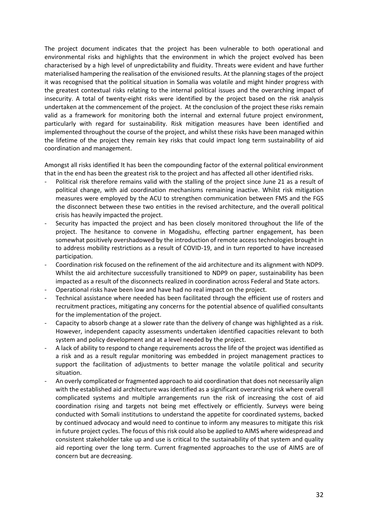The project document indicates that the project has been vulnerable to both operational and environmental risks and highlights that the environment in which the project evolved has been characterised by a high level of unpredictability and fluidity. Threats were evident and have further materialised hampering the realisation of the envisioned results. At the planning stages of the project it was recognised that the political situation in Somalia was volatile and might hinder progress with the greatest contextual risks relating to the internal political issues and the overarching impact of insecurity. A total of twenty-eight risks were identified by the project based on the risk analysis undertaken at the commencement of the project. At the conclusion of the project these risks remain valid as a framework for monitoring both the internal and external future project environment, particularly with regard for sustainability. Risk mitigation measures have been identified and implemented throughout the course of the project, and whilst these risks have been managed within the lifetime of the project they remain key risks that could impact long term sustainability of aid coordination and management.

Amongst all risks identified It has been the compounding factor of the external political environment that in the end has been the greatest risk to the project and has affected all other identified risks.

- Political risk therefore remains valid with the stalling of the project since June 21 as a result of political change, with aid coordination mechanisms remaining inactive. Whilst risk mitigation measures were employed by the ACU to strengthen communication between FMS and the FGS the disconnect between these two entities in the revised architecture, and the overall political crisis has heavily impacted the project.
- Security has impacted the project and has been closely monitored throughout the life of the project. The hesitance to convene in Mogadishu, effecting partner engagement, has been somewhat positively overshadowed by the introduction of remote access technologies brought in to address mobility restrictions as a result of COVID-19, and in turn reported to have increased participation.
- Coordination risk focused on the refinement of the aid architecture and its alignment with NDP9. Whilst the aid architecture successfully transitioned to NDP9 on paper, sustainability has been impacted as a result of the disconnects realized in coordination across Federal and State actors.
- Operational risks have been low and have had no real impact on the project.
- Technical assistance where needed has been facilitated through the efficient use of rosters and recruitment practices, mitigating any concerns for the potential absence of qualified consultants for the implementation of the project.
- Capacity to absorb change at a slower rate than the delivery of change was highlighted as a risk. However, independent capacity assessments undertaken identified capacities relevant to both system and policy development and at a level needed by the project.
- A lack of ability to respond to change requirements across the life of the project was identified as a risk and as a result regular monitoring was embedded in project management practices to support the facilitation of adjustments to better manage the volatile political and security situation.
- An overly complicated or fragmented approach to aid coordination that does not necessarily align with the established aid architecture was identified as a significant overarching risk where overall complicated systems and multiple arrangements run the risk of increasing the cost of aid coordination rising and targets not being met effectively or efficiently. Surveys were being conducted with Somali institutions to understand the appetite for coordinated systems, backed by continued advocacy and would need to continue to inform any measures to mitigate this risk in future project cycles. The focus of this risk could also be applied to AIMS where widespread and consistent stakeholder take up and use is critical to the sustainability of that system and quality aid reporting over the long term. Current fragmented approaches to the use of AIMS are of concern but are decreasing.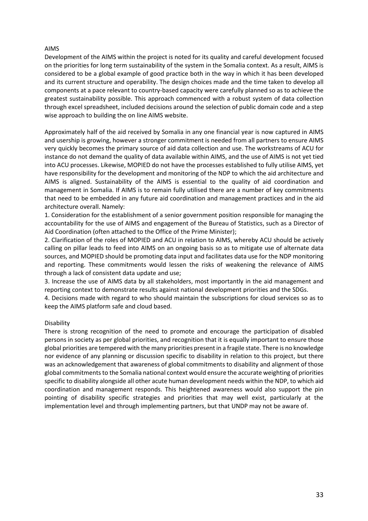#### AIMS

Development of the AIMS within the project is noted for its quality and careful development focused on the priorities for long term sustainability of the system in the Somalia context. As a result, AIMS is considered to be a global example of good practice both in the way in which it has been developed and its current structure and operability. The design choices made and the time taken to develop all components at a pace relevant to country-based capacity were carefully planned so as to achieve the greatest sustainability possible. This approach commenced with a robust system of data collection through excel spreadsheet, included decisions around the selection of public domain code and a step wise approach to building the on line AIMS website.

Approximately half of the aid received by Somalia in any one financial year is now captured in AIMS and usership is growing, however a stronger commitment is needed from all partners to ensure AIMS very quickly becomes the primary source of aid data collection and use. The workstreams of ACU for instance do not demand the quality of data available within AIMS, and the use of AIMS is not yet tied into ACU processes. Likewise, MOPIED do not have the processes established to fully utilise AIMS, yet have responsibility for the development and monitoring of the NDP to which the aid architecture and AIMS is aligned. Sustainability of the AIMS is essential to the quality of aid coordination and management in Somalia. If AIMS is to remain fully utilised there are a number of key commitments that need to be embedded in any future aid coordination and management practices and in the aid architecture overall. Namely:

1. Consideration for the establishment of a senior government position responsible for managing the accountability for the use of AIMS and engagement of the Bureau of Statistics, such as a Director of Aid Coordination (often attached to the Office of the Prime Minister);

2. Clarification of the roles of MOPIED and ACU in relation to AIMS, whereby ACU should be actively calling on pillar leads to feed into AIMS on an ongoing basis so as to mitigate use of alternate data sources, and MOPIED should be promoting data input and facilitates data use for the NDP monitoring and reporting. These commitments would lessen the risks of weakening the relevance of AIMS through a lack of consistent data update and use;

3. Increase the use of AIMS data by all stakeholders, most importantly in the aid management and reporting context to demonstrate results against national development priorities and the SDGs.

4. Decisions made with regard to who should maintain the subscriptions for cloud services so as to keep the AIMS platform safe and cloud based.

#### Disability

There is strong recognition of the need to promote and encourage the participation of disabled persons in society as per global priorities, and recognition that it is equally important to ensure those global priorities are tempered with the many priorities present in a fragile state. There is no knowledge nor evidence of any planning or discussion specific to disability in relation to this project, but there was an acknowledgement that awareness of global commitments to disability and alignment of those global commitments to the Somalia national context would ensure the accurate weighting of priorities specific to disability alongside all other acute human development needs within the NDP, to which aid coordination and management responds. This heightened awareness would also support the pin pointing of disability specific strategies and priorities that may well exist, particularly at the implementation level and through implementing partners, but that UNDP may not be aware of.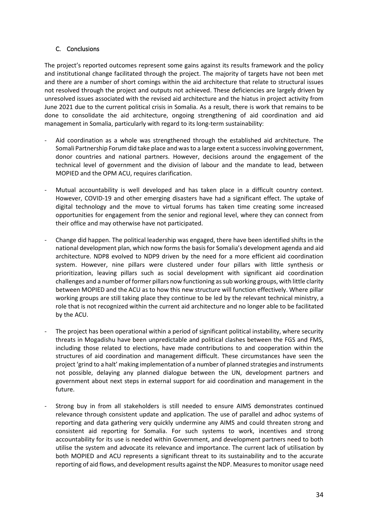#### <span id="page-33-0"></span>C. Conclusions

The project's reported outcomes represent some gains against its results framework and the policy and institutional change facilitated through the project. The majority of targets have not been met and there are a number of short comings within the aid architecture that relate to structural issues not resolved through the project and outputs not achieved. These deficiencies are largely driven by unresolved issues associated with the revised aid architecture and the hiatus in project activity from June 2021 due to the current political crisis in Somalia. As a result, there is work that remains to be done to consolidate the aid architecture, ongoing strengthening of aid coordination and aid management in Somalia, particularly with regard to its long-term sustainability:

- Aid coordination as a whole was strengthened through the established aid architecture. The Somali Partnership Forum did take place and was to a large extent a success involving government, donor countries and national partners. However, decisions around the engagement of the technical level of government and the division of labour and the mandate to lead, between MOPIED and the OPM ACU, requires clarification.
- Mutual accountability is well developed and has taken place in a difficult country context. However, COVID-19 and other emerging disasters have had a significant effect. The uptake of digital technology and the move to virtual forums has taken time creating some increased opportunities for engagement from the senior and regional level, where they can connect from their office and may otherwise have not participated.
- Change did happen. The political leadership was engaged, there have been identified shifts in the national development plan, which now forms the basis for Somalia's development agenda and aid architecture. NDP8 evolved to NDP9 driven by the need for a more efficient aid coordination system. However, nine pillars were clustered under four pillars with little synthesis or prioritization, leaving pillars such as social development with significant aid coordination challenges and a number of former pillars now functioning as sub working groups, with little clarity between MOPIED and the ACU as to how this new structure will function effectively. Where pillar working groups are still taking place they continue to be led by the relevant technical ministry, a role that is not recognized within the current aid architecture and no longer able to be facilitated by the ACU.
- The project has been operational within a period of significant political instability, where security threats in Mogadishu have been unpredictable and political clashes between the FGS and FMS, including those related to elections, have made contributions to and cooperation within the structures of aid coordination and management difficult. These circumstances have seen the project 'grind to a halt' making implementation of a number of planned strategies and instruments not possible, delaying any planned dialogue between the UN, development partners and government about next steps in external support for aid coordination and management in the future.
- Strong buy in from all stakeholders is still needed to ensure AIMS demonstrates continued relevance through consistent update and application. The use of parallel and adhoc systems of reporting and data gathering very quickly undermine any AIMS and could threaten strong and consistent aid reporting for Somalia. For such systems to work, incentives and strong accountability for its use is needed within Government, and development partners need to both utilise the system and advocate its relevance and importance. The current lack of utilisation by both MOPIED and ACU represents a significant threat to its sustainability and to the accurate reporting of aid flows, and development results against the NDP. Measures to monitor usage need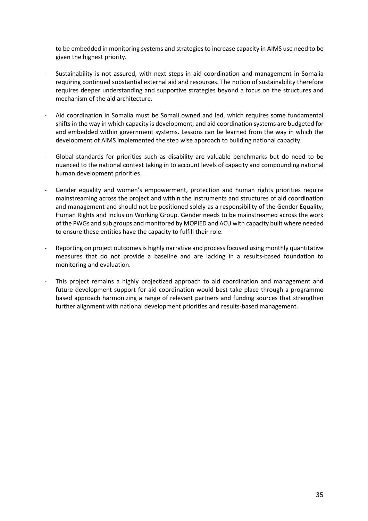to be embedded in monitoring systems and strategies to increase capacity in AIMS use need to be given the highest priority.

- Sustainability is not assured, with next steps in aid coordination and management in Somalia requiring continued substantial external aid and resources. The notion of sustainability therefore requires deeper understanding and supportive strategies beyond a focus on the structures and mechanism of the aid architecture.
- Aid coordination in Somalia must be Somali owned and led, which requires some fundamental shifts in the way in which capacity is development, and aid coordination systems are budgeted for and embedded within government systems. Lessons can be learned from the way in which the development of AIMS implemented the step wise approach to building national capacity.
- Global standards for priorities such as disability are valuable benchmarks but do need to be nuanced to the national context taking in to account levels of capacity and compounding national human development priorities.
- Gender equality and women's empowerment, protection and human rights priorities require mainstreaming across the project and within the instruments and structures of aid coordination and management and should not be positioned solely as a responsibility of the Gender Equality, Human Rights and Inclusion Working Group. Gender needs to be mainstreamed across the work of the PWGs and sub groups and monitored by MOPIED and ACU with capacity built where needed to ensure these entities have the capacity to fulfill their role.
- Reporting on project outcomes is highly narrative and process focused using monthly quantitative measures that do not provide a baseline and are lacking in a results-based foundation to monitoring and evaluation.
- This project remains a highly projectized approach to aid coordination and management and future development support for aid coordination would best take place through a programme based approach harmonizing a range of relevant partners and funding sources that strengthen further alignment with national development priorities and results-based management.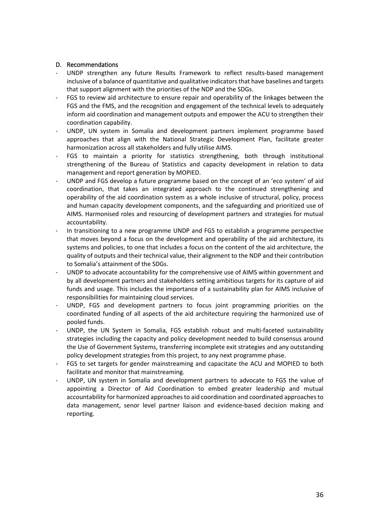#### <span id="page-35-0"></span>D. Recommendations

- UNDP strengthen any future Results Framework to reflect results-based management inclusive of a balance of quantitative and qualitative indicators that have baselines and targets that support alignment with the priorities of the NDP and the SDGs.
- FGS to review aid architecture to ensure repair and operability of the linkages between the FGS and the FMS, and the recognition and engagement of the technical levels to adequately inform aid coordination and management outputs and empower the ACU to strengthen their coordination capability.
- UNDP, UN system in Somalia and development partners implement programme based approaches that align with the National Strategic Development Plan, facilitate greater harmonization across all stakeholders and fully utilise AIMS.
- FGS to maintain a priority for statistics strengthening, both through institutional strengthening of the Bureau of Statistics and capacity development in relation to data management and report generation by MOPIED.
- UNDP and FGS develop a future programme based on the concept of an 'eco system' of aid coordination, that takes an integrated approach to the continued strengthening and operability of the aid coordination system as a whole inclusive of structural, policy, process and human capacity development components, and the safeguarding and prioritized use of AIMS. Harmonised roles and resourcing of development partners and strategies for mutual accountability.
- In transitioning to a new programme UNDP and FGS to establish a programme perspective that moves beyond a focus on the development and operability of the aid architecture, its systems and policies, to one that includes a focus on the content of the aid architecture, the quality of outputs and their technical value, their alignment to the NDP and their contribution to Somalia's attainment of the SDGs.
- UNDP to advocate accountability for the comprehensive use of AIMS within government and by all development partners and stakeholders setting ambitious targets for its capture of aid funds and usage. This includes the importance of a sustainability plan for AIMS inclusive of responsibilities for maintaining cloud services.
- UNDP, FGS and development partners to focus joint programming priorities on the coordinated funding of all aspects of the aid architecture requiring the harmonized use of pooled funds.
- UNDP, the UN System in Somalia, FGS establish robust and multi-faceted sustainability strategies including the capacity and policy development needed to build consensus around the Use of Government Systems, transferring incomplete exit strategies and any outstanding policy development strategies from this project, to any next programme phase.
- FGS to set targets for gender mainstreaming and capacitate the ACU and MOPIED to both facilitate and monitor that mainstreaming.
- UNDP, UN system in Somalia and development partners to advocate to FGS the value of appointing a Director of Aid Coordination to embed greater leadership and mutual accountability for harmonized approaches to aid coordination and coordinated approaches to data management, senor level partner liaison and evidence-based decision making and reporting.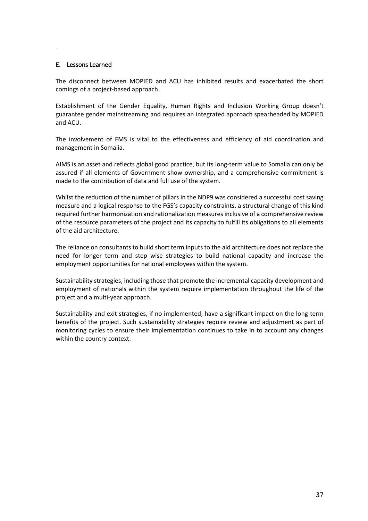#### <span id="page-36-0"></span>E. Lessons Learned

-

The disconnect between MOPIED and ACU has inhibited results and exacerbated the short comings of a project-based approach.

Establishment of the Gender Equality, Human Rights and Inclusion Working Group doesn't guarantee gender mainstreaming and requires an integrated approach spearheaded by MOPIED and ACU.

The involvement of FMS is vital to the effectiveness and efficiency of aid coordination and management in Somalia.

AIMS is an asset and reflects global good practice, but its long-term value to Somalia can only be assured if all elements of Government show ownership, and a comprehensive commitment is made to the contribution of data and full use of the system.

Whilst the reduction of the number of pillars in the NDP9 was considered a successful cost saving measure and a logical response to the FGS's capacity constraints, a structural change of this kind required further harmonization and rationalization measures inclusive of a comprehensive review of the resource parameters of the project and its capacity to fulfill its obligations to all elements of the aid architecture.

The reliance on consultants to build short term inputs to the aid architecture does not replace the need for longer term and step wise strategies to build national capacity and increase the employment opportunities for national employees within the system.

Sustainability strategies, including those that promote the incremental capacity development and employment of nationals within the system require implementation throughout the life of the project and a multi-year approach.

Sustainability and exit strategies, if no implemented, have a significant impact on the long-term benefits of the project. Such sustainability strategies require review and adjustment as part of monitoring cycles to ensure their implementation continues to take in to account any changes within the country context.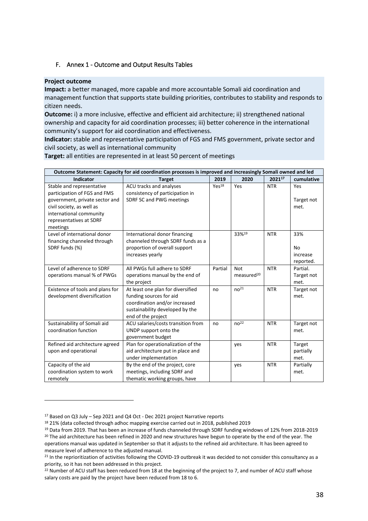#### <span id="page-37-0"></span>F. Annex 1 - Outcome and Output Results Tables

#### **Project outcome**

**Impact:** a better managed, more capable and more accountable Somali aid coordination and management function that supports state building priorities, contributes to stability and responds to citizen needs.

**Outcome:** i) a more inclusive, effective and efficient aid architecture; ii) strengthened national ownership and capacity for aid coordination processes; iii) better coherence in the international community's support for aid coordination and effectiveness.

**Indicator:** stable and representative participation of FGS and FMS government, private sector and civil society, as well as international community

**Target:** all entities are represented in at least 50 percent of meetings

| Outcome Statement: Capacity for aid coordination processes is improved and increasingly Somali owned and led                                                                               |                                                                                                                                                        |                   |                                      |            |                                    |
|--------------------------------------------------------------------------------------------------------------------------------------------------------------------------------------------|--------------------------------------------------------------------------------------------------------------------------------------------------------|-------------------|--------------------------------------|------------|------------------------------------|
| <b>Indicator</b>                                                                                                                                                                           | <b>Target</b>                                                                                                                                          | 2019              | 2020                                 | 202117     | cumulative                         |
| Stable and representative<br>participation of FGS and FMS<br>government, private sector and<br>civil society, as well as<br>international community<br>representatives at SDRF<br>meetings | ACU tracks and analyses<br>consistency of participation in<br>SDRF SC and PWG meetings                                                                 | Yes <sup>18</sup> | Yes                                  | <b>NTR</b> | Yes<br>Target not<br>met.          |
| Level of international donor<br>financing channeled through<br>SDRF funds (%)                                                                                                              | International donor financing<br>channeled through SDRF funds as a<br>proportion of overall support<br>increases yearly                                |                   | 33%19                                | <b>NTR</b> | 33%<br>No<br>increase<br>reported. |
| Level of adherence to SDRF<br>operations manual % of PWGs                                                                                                                                  | All PWGs full adhere to SDRF<br>operations manual by the end of<br>the project                                                                         | Partial           | <b>Not</b><br>measured <sup>20</sup> | <b>NTR</b> | Partial.<br>Target not<br>met.     |
| Existence of tools and plans for<br>development diversification                                                                                                                            | At least one plan for diversified<br>funding sources for aid<br>coordination and/or increased<br>sustainability developed by the<br>end of the project | no                | no <sup>21</sup>                     | <b>NTR</b> | Target not<br>met.                 |
| Sustainability of Somali aid<br>coordination function                                                                                                                                      | ACU salaries/costs transition from<br>UNDP support onto the<br>government budget                                                                       | no                | no <sup>22</sup>                     | <b>NTR</b> | Target not<br>met.                 |
| Refined aid architecture agreed<br>upon and operational                                                                                                                                    | Plan for operationalization of the<br>aid architecture put in place and<br>under implementation                                                        |                   | yes                                  | <b>NTR</b> | Target<br>partially<br>met.        |
| Capacity of the aid<br>coordination system to work<br>remotely                                                                                                                             | By the end of the project, core<br>meetings, including SDRF and<br>thematic working groups, have                                                       |                   | yes                                  | <b>NTR</b> | Partially<br>met.                  |

<sup>17</sup> Based on Q3 July – Sep 2021 and Q4 Oct - Dec 2021 project Narrative reports

<sup>18</sup> 21% (data collected through adhoc mapping exercise carried out in 2018, published 2019

<sup>19</sup> Data from 2019. That has been an increase of funds channeled through SDRF funding windows of 12% from 2018-2019 <sup>20</sup> The aid architecture has been refined in 2020 and new structures have begun to operate by the end of the year. The operations manual was updated in September so that it adjusts to the refined aid architecture. It has been agreed to measure level of adherence to the adjusted manual.

<sup>&</sup>lt;sup>21</sup> In the reprioritization of activities following the COVID-19 outbreak it was decided to not consider this consultancy as a priority, so it has not been addressed in this project.

<sup>&</sup>lt;sup>22</sup> Number of ACU staff has been reduced from 18 at the beginning of the project to 7, and number of ACU staff whose salary costs are paid by the project have been reduced from 18 to 6.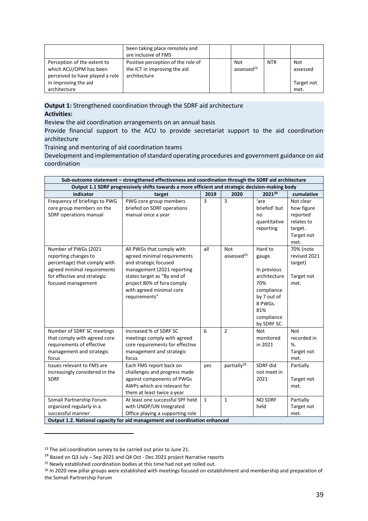|                                                                                                                                  | been taking place remotely and<br>are inclusive of FMS                             |                               |     |                                       |
|----------------------------------------------------------------------------------------------------------------------------------|------------------------------------------------------------------------------------|-------------------------------|-----|---------------------------------------|
| Perception of the extent to<br>which ACU/OPM has been<br>perceived to have played a role<br>in improving the aid<br>architecture | Positive perception of the role of<br>the ICT in improving the aid<br>architecture | Not<br>assessed <sup>23</sup> | NTR | Not<br>assessed<br>Target not<br>met. |

**Output 1:** Strengthened coordination through the SDRF aid architecture **Activities:** 

Review the aid coordination arrangements on an annual basis

Provide financial support to the ACU to provide secretariat support to the aid coordination architecture

Training and mentoring of aid coordination teams

Development and implementation of standard operating procedures and government guidance on aid coordination

|                                                                                                                                                                                              | Sub-outcome statement - strengthened effectiveness and coordination through the SDRF aid architecture                                                                                                                     |              |                                           |                                                                                                                                     |                                                                                    |
|----------------------------------------------------------------------------------------------------------------------------------------------------------------------------------------------|---------------------------------------------------------------------------------------------------------------------------------------------------------------------------------------------------------------------------|--------------|-------------------------------------------|-------------------------------------------------------------------------------------------------------------------------------------|------------------------------------------------------------------------------------|
| Output 1.1 SDRF progressively shifts towards a more efficient and strategic decision-making body                                                                                             |                                                                                                                                                                                                                           |              |                                           |                                                                                                                                     |                                                                                    |
| indicator                                                                                                                                                                                    | target                                                                                                                                                                                                                    | 2019         | 2020                                      | 202124                                                                                                                              | cumulative                                                                         |
| Frequency of briefings to PWG<br>core group members on the<br>SDRF operations manual                                                                                                         | PWG core group members<br>briefed on SDRF operations<br>manual once a year                                                                                                                                                | 3            | $\overline{3}$                            | 'are<br>briefed' but<br>no<br>quantitative<br>reporting                                                                             | Not clear<br>how figure<br>reported<br>relates to<br>target.<br>Target not<br>met. |
| Number of PWGs (2021<br>reporting changes to<br>percentage) that comply with<br>agreed minimal requirements<br>for effective and strategic<br>focused management                             | All PWGs that comply with<br>agreed minimal requirements<br>and strategic focused<br>management (2021 reporting<br>states target as "By end of<br>project 80% of fora comply<br>with agreed minimal core<br>requirements" | all          | <b>Not</b><br>assessed <sup>25</sup>      | Hard to<br>gauge.<br>In previous<br>architecture<br>70%<br>compliance<br>by 7 out of<br>8 PWGs.<br>81%<br>compliance<br>by SDRF SC. | 70% (note<br>revised 2021<br>target)<br>Target not<br>met.                         |
| Number of SDRF SC meetings<br>that comply with agreed core<br>requirements of effective<br>management and strategic<br>focus<br>Issues relevant to FMS are<br>increasingly considered in the | Increased % of SDRF SC<br>meetings comply with agreed<br>core requirements for effective<br>management and strategic<br>focus<br>Each FMS report back on<br>challenges and progress made                                  | 6<br>yes     | $\overline{2}$<br>partially <sup>26</sup> | <b>Not</b><br>monitored<br>in 2021<br>SDRF did<br>not meet in                                                                       | <b>Not</b><br>recorded in<br>%<br>Target not<br>met.<br>Partially                  |
| <b>SDRF</b>                                                                                                                                                                                  | against components of PWGs<br>AWPs which are relevant for<br>them at least twice a year                                                                                                                                   |              |                                           | 2021                                                                                                                                | Target not<br>met.                                                                 |
| Somali Partnership Forum<br>organized regularly in a<br>successful manner                                                                                                                    | At least one successful SPF held<br>with UNDP/UN Integrated<br>Office playing a supporting role                                                                                                                           | $\mathbf{1}$ | $\mathbf{1}$                              | <b>NO SDRF</b><br>held                                                                                                              | Partially<br>Target not<br>met.                                                    |
|                                                                                                                                                                                              | Output 1.2. National capacity for aid management and coordination enhanced                                                                                                                                                |              |                                           |                                                                                                                                     |                                                                                    |

<sup>&</sup>lt;sup>23</sup> The aid coordination survey to be carried out prior to June 21.

<sup>&</sup>lt;sup>24</sup> Based on Q3 July – Sep 2021 and Q4 Oct - Dec 2021 project Narrative reports

<sup>&</sup>lt;sup>25</sup> Newly established coordination bodies at this time had not yet rolled out.

<sup>&</sup>lt;sup>26</sup> In 2020 new pillar groups were established with meetings focused on establishment and membership and preparation of the Somali Partnership Forum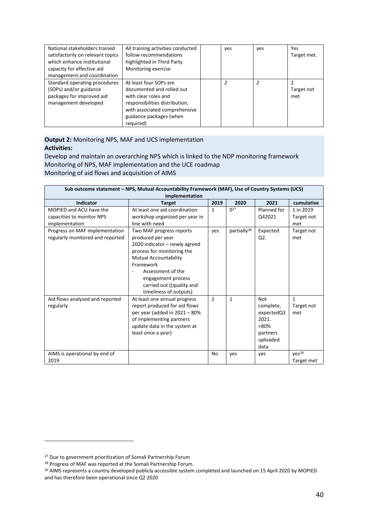| National stakeholders trained     | All training activities conducted | ves | ves | Yes         |
|-----------------------------------|-----------------------------------|-----|-----|-------------|
| satisfactorily on relevant topics | follow recommendations            |     |     | Target met. |
| which enhance institutional       | highlighted in Third Party        |     |     |             |
| capacity for effective aid        | Monitoring exercise               |     |     |             |
| management and coordination       |                                   |     |     |             |
| Standard operating procedures     | At least four SOPs are            |     | っ   |             |
| (SOPs) and/or guidance            | documented and rolled out         |     |     | Target not  |
| packages for improved aid         | with clear roles and              |     |     | met         |
| management developed              | responsibilities distribution,    |     |     |             |
|                                   | with associated comprehensive     |     |     |             |
|                                   | guidance packages (when           |     |     |             |
|                                   | required)                         |     |     |             |

#### **Output 2:** Monitoring NPS, MAF and UCS implementation **Activities:**

Develop and maintain an overarching NPS which is linked to the NDP monitoring framework Monitoring of NPS, MAF implementation and the UCE roadmap Monitoring of aid flows and acquisition of AIMS

| Sub outcome statement - NPS, Mutual Accountability Framework (MAF), Use of Country Systems (UCS)<br>implementation |                                                                                                                                                                                                                                                             |              |                         |                                                                                        |                                   |
|--------------------------------------------------------------------------------------------------------------------|-------------------------------------------------------------------------------------------------------------------------------------------------------------------------------------------------------------------------------------------------------------|--------------|-------------------------|----------------------------------------------------------------------------------------|-----------------------------------|
| <b>Indicator</b>                                                                                                   | <b>Target</b>                                                                                                                                                                                                                                               | 2019         | 2020                    | 2021                                                                                   | cumulative                        |
| MOPIED and ACU have the                                                                                            | At least one aid coordination                                                                                                                                                                                                                               | $\mathbf{1}$ | $\Omega$                | Planned for                                                                            | 1 in 2019                         |
| capacities to monitor NPS                                                                                          | workshop organized per year in                                                                                                                                                                                                                              |              |                         | Q42021                                                                                 | Target not                        |
| implementation                                                                                                     | line with need                                                                                                                                                                                                                                              |              |                         |                                                                                        | met                               |
| Progress on MAF implementation<br>regularly monitored and reported                                                 | Two MAF progress reports<br>produced per year<br>2020 indicator - newly agreed<br>process for monitoring the<br><b>Mutual Accountability</b><br>Framework<br>Assessment of the<br>engagement process<br>carried out ((quality and<br>timeliness of outputs) | yes          | partially <sup>28</sup> | Expected<br>Q2.                                                                        | Target not<br>met                 |
| Aid flows analysed and reported<br>regularly                                                                       | At least one annual progress<br>report produced for aid flows<br>per year (added in 2021 - 80%<br>of implementing partners<br>update data in the system at<br>least once a year)                                                                            | $\mathbf{1}$ | $\mathbf{1}$            | <b>Not</b><br>complete,<br>expectedQ3<br>2021.<br>>80%<br>partners<br>uploaded<br>data | $\mathbf{1}$<br>Target not<br>met |
| AIMS is operational by end of<br>2019                                                                              |                                                                                                                                                                                                                                                             | No           | ves                     | yes                                                                                    | yes <sup>29</sup><br>Target met   |

<sup>&</sup>lt;sup>27</sup> Due to government prioritization of Somali Partnership Forum

<sup>28</sup> Progress of MAF was reported at the Somali Partnership Forum.

<sup>&</sup>lt;sup>29</sup> AIMS represents a country developed publicly accessible system completed and launched on 15 April 2020 by MOPIED and has therefore been operational since Q2 2020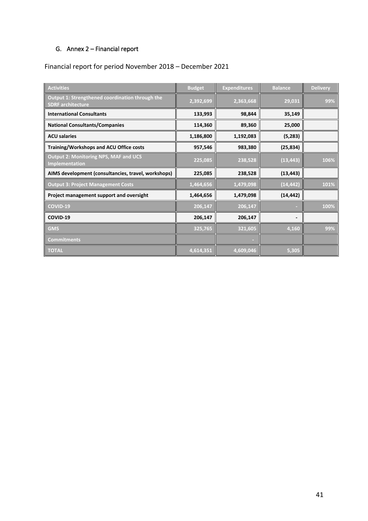## <span id="page-40-0"></span>G. Annex 2 – Financial report

# Financial report for period November 2018 – December 2021

| Activities                                                                  | <b>Budget</b> | <b>Expenditures</b> | <b>Balance</b> | <b>Delivery</b> |
|-----------------------------------------------------------------------------|---------------|---------------------|----------------|-----------------|
| Output 1: Strengthened coordination through the<br><b>SDRF</b> architecture | 2,392,699     | 2,363,668           | 29,031         | 99%             |
| <b>International Consultants</b>                                            | 133,993       | 98,844              | 35,149         |                 |
| <b>National Consultants/Companies</b>                                       | 114,360       | 89,360              | 25,000         |                 |
| <b>ACU salaries</b>                                                         | 1,186,800     | 1,192,083           | (5,283)        |                 |
| Training/Workshops and ACU Office costs                                     | 957,546       | 983,380             | (25, 834)      |                 |
| <b>Output 2: Monitoring NPS, MAF and UCS</b><br>Implementation              | 225,085       | 238,528             | (13, 443)      | 106%            |
| AIMS development (consultancies, travel, workshops)                         | 225,085       | 238,528             | (13, 443)      |                 |
| <b>Output 3: Project Management Costs</b>                                   | 1,464,656     | 1,479,098           | (14, 442)      | 101%            |
| Project management support and oversight                                    | 1,464,656     | 1,479,098           | (14, 442)      |                 |
| COVID-19                                                                    | 206,147       | 206,147             |                | 100%            |
| COVID-19                                                                    | 206,147       | 206,147             |                |                 |
| <b>GMS</b>                                                                  | 325,765       | 321,605             | 4,160          | 99%             |
| <b>Commitments</b>                                                          |               |                     |                |                 |
| <b>TOTAL</b>                                                                | 4,614,351     | 4,609,046           | 5,305          |                 |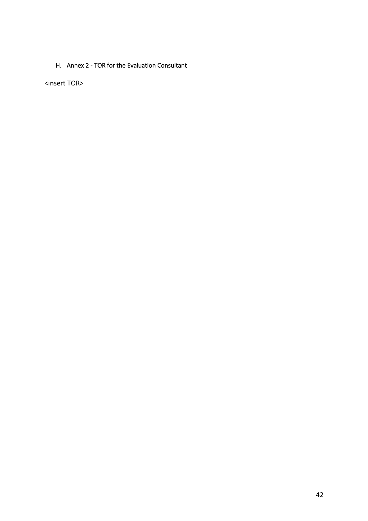### <span id="page-41-0"></span>H. Annex 2 - TOR for the Evaluation Consultant

<insert TOR>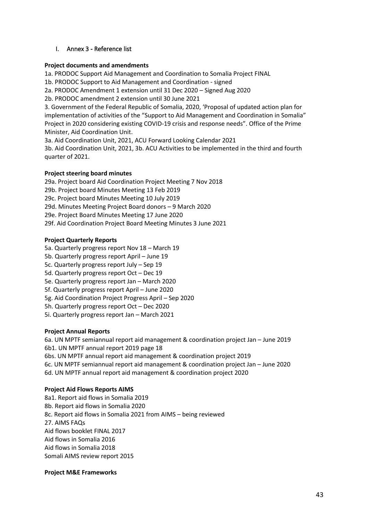#### <span id="page-42-0"></span>I. Annex 3 - Reference list

#### **Project documents and amendments**

1a. PRODOC Support Aid Management and Coordination to Somalia Project FINAL

1b. PRODOC Support to Aid Management and Coordination - signed

2a. PRODOC Amendment 1 extension until 31 Dec 2020 – Signed Aug 2020

2b. PRODOC amendment 2 extension until 30 June 2021

3. Government of the Federal Republic of Somalia, 2020, 'Proposal of updated action plan for implementation of activities of the "Support to Aid Management and Coordination in Somalia" Project in 2020 considering existing COVID-19 crisis and response needs". Office of the Prime Minister, Aid Coordination Unit.

3a. Aid Coordination Unit, 2021, ACU Forward Looking Calendar 2021

3b. Aid Coordination Unit, 2021, 3b. ACU Activities to be implemented in the third and fourth quarter of 2021.

#### **Project steering board minutes**

29a. Project board Aid Coordination Project Meeting 7 Nov 2018 29b. Project board Minutes Meeting 13 Feb 2019 29c. Project board Minutes Meeting 10 July 2019 29d. Minutes Meeting Project Board donors – 9 March 2020 29e. Project Board Minutes Meeting 17 June 2020 29f. Aid Coordination Project Board Meeting Minutes 3 June 2021

#### **Project Quarterly Reports**

- 5a. Quarterly progress report Nov 18 March 19
- 5b. Quarterly progress report April June 19
- 5c. Quarterly progress report July Sep 19
- 5d. Quarterly progress report Oct Dec 19
- 5e. Quarterly progress report Jan March 2020
- 5f. Quarterly progress report April June 2020
- 5g. Aid Coordination Project Progress April Sep 2020
- 5h. Quarterly progress report Oct Dec 2020
- 5i. Quarterly progress report Jan March 2021

#### **Project Annual Reports**

6a. UN MPTF semiannual report aid management & coordination project Jan – June 2019 6b1. UN MPTF annual report 2019 page 18 6bs. UN MPTF annual report aid management & coordination project 2019 6c. UN MPTF semiannual report aid management & coordination project Jan – June 2020 6d. UN MPTF annual report aid management & coordination project 2020

#### **Project Aid Flows Reports AIMS**

8a1. Report aid flows in Somalia 2019 8b. Report aid flows in Somalia 2020 8c. Report aid flows in Somalia 2021 from AIMS – being reviewed 27. AIMS FAQs Aid flows booklet FINAL 2017 Aid flows in Somalia 2016 Aid flows in Somalia 2018 Somali AIMS review report 2015

#### **Project M&E Frameworks**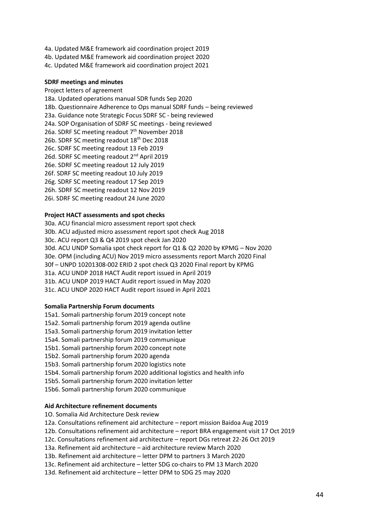4a. Updated M&E framework aid coordination project 2019 4b. Updated M&E framework aid coordination project 2020 4c. Updated M&E framework aid coordination project 2021

#### **SDRF meetings and minutes**

Project letters of agreement 18a. Updated operations manual SDR funds Sep 2020 18b. Questionnaire Adherence to Ops manual SDRF funds – being reviewed 23a. Guidance note Strategic Focus SDRF SC - being reviewed 24a. SOP Organisation of SDRF SC meetings - being reviewed 26a. SDRF SC meeting readout 7<sup>th</sup> November 2018 26b. SDRF SC meeting readout 18<sup>th</sup> Dec 2018 26c. SDRF SC meeting readout 13 Feb 2019 26d. SDRF SC meeting readout 2<sup>nd</sup> April 2019 26e. SDRF SC meeting readout 12 July 2019 26f. SDRF SC meeting readout 10 July 2019 26g. SDRF SC meeting readout 17 Sep 2019 26h. SDRF SC meeting readout 12 Nov 2019 26i. SDRF SC meeting readout 24 June 2020

# **Project HACT assessments and spot checks**

30a. ACU financial micro assessment report spot check 30b. ACU adjusted micro assessment report spot check Aug 2018 30c. ACU report Q3 & Q4 2019 spot check Jan 2020 30d. ACU UNDP Somalia spot check report for Q1 & Q2 2020 by KPMG – Nov 2020 30e. OPM (including ACU) Nov 2019 micro assessments report March 2020 Final 30f – UNPD 10201308-002 ERID 2 spot check Q3 2020 Final report by KPMG 31a. ACU UNDP 2018 HACT Audit report issued in April 2019 31b. ACU UNDP 2019 HACT Audit report issued in May 2020 31c. ACU UNDP 2020 HACT Audit report issued in April 2021

#### **Somalia Partnership Forum documents**

- 15a1. Somali partnership forum 2019 concept note
- 15a2. Somali partnership forum 2019 agenda outline
- 15a3. Somali partnership forum 2019 invitation letter
- 15a4. Somali partnership forum 2019 communique
- 15b1. Somali partnership forum 2020 concept note
- 15b2. Somali partnership forum 2020 agenda
- 15b3. Somali partnership forum 2020 logistics note
- 15b4. Somali partnership forum 2020 additional logistics and health info
- 15b5. Somali partnership forum 2020 invitation letter
- 15b6. Somali partnership forum 2020 communique

#### **Aid Architecture refinement documents**

- 1O. Somalia Aid Architecture Desk review
- 12a. Consultations refinement aid architecture report mission Baidoa Aug 2019
- 12b. Consultations refinement aid architecture report BRA engagement visit 17 Oct 2019
- 12c. Consultations refinement aid architecture report DGs retreat 22-26 Oct 2019
- 13a. Refinement aid architecture aid architecture review March 2020
- 13b. Refinement aid architecture letter DPM to partners 3 March 2020
- 13c. Refinement aid architecture letter SDG co-chairs to PM 13 March 2020
- 13d. Refinement aid architecture letter DPM to SDG 25 may 2020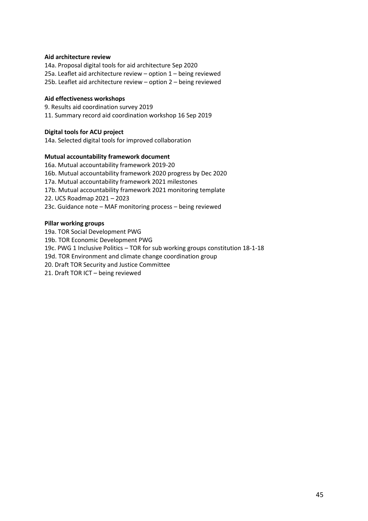#### **Aid architecture review**

14a. Proposal digital tools for aid architecture Sep 2020 25a. Leaflet aid architecture review – option 1 – being reviewed 25b. Leaflet aid architecture review – option 2 – being reviewed

#### **Aid effectiveness workshops**

9. Results aid coordination survey 2019 11. Summary record aid coordination workshop 16 Sep 2019

#### **Digital tools for ACU project**

14a. Selected digital tools for improved collaboration

#### **Mutual accountability framework document**

16a. Mutual accountability framework 2019-20 16b. Mutual accountability framework 2020 progress by Dec 2020 17a. Mutual accountability framework 2021 milestones 17b. Mutual accountability framework 2021 monitoring template 22. UCS Roadmap 2021 – 2023 23c. Guidance note – MAF monitoring process – being reviewed

#### **Pillar working groups**

19a. TOR Social Development PWG 19b. TOR Economic Development PWG 19c. PWG 1 Inclusive Politics – TOR for sub working groups constitution 18-1-18 19d. TOR Environment and climate change coordination group 20. Draft TOR Security and Justice Committee 21. Draft TOR ICT – being reviewed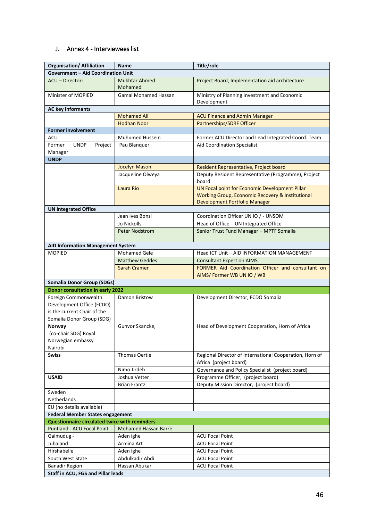#### <span id="page-45-0"></span>J. Annex 4 - Interviewees list

| <b>Organisation/ Affiliation</b>              | <b>Name</b>                 | Title/role                                                   |
|-----------------------------------------------|-----------------------------|--------------------------------------------------------------|
| <b>Government - Aid Coordination Unit</b>     |                             |                                                              |
| ACU - Director:                               | <b>Mukhtar Ahmed</b>        | Project Board, Implementation aid architecture               |
|                                               | Mohamed                     |                                                              |
| Minister of MOPIED                            | Gamal Mohamed Hassan        | Ministry of Planning Investment and Economic                 |
|                                               |                             | Development                                                  |
| <b>AC key informants</b>                      |                             |                                                              |
|                                               | <b>Mohamed Ali</b>          | <b>ACU Finance and Admin Manager</b>                         |
|                                               | <b>Hodhan Noor</b>          | Partnerships/SDRF Officer                                    |
| <b>Former involvement</b>                     |                             |                                                              |
| ACU                                           | Muhumed Hussein             | Former ACU Director and Lead Integrated Coord. Team          |
| Former<br><b>UNDP</b><br>Project              | Pau Blanguer                | Aid Coordination Specialist                                  |
| Manager                                       |                             |                                                              |
| <b>UNDP</b>                                   |                             |                                                              |
|                                               | <b>Jocelyn Mason</b>        | Resident Representative, Project board                       |
|                                               | Jacqueline Olweya           | Deputy Resident Representative (Programme), Project<br>board |
|                                               | Laura Rio                   | UN Focal point for Economic Development Pillar               |
|                                               |                             | Working Group, Economic Recovery & Institutional             |
|                                               |                             | Development Portfolio Manager                                |
| <b>UN Integrated Office</b>                   |                             |                                                              |
|                                               | Jean Ives Bonzi             | Coordination Officer UN IO / - UNSOM                         |
|                                               | Jo Nickolls                 | Head of Office - UN Integrated Office                        |
|                                               | <b>Peter Nodstrom</b>       | Senior Trust Fund Manager - MPTF Somalia                     |
| AID Information Management System             |                             |                                                              |
| <b>MOPIED</b>                                 | <b>Mohamed Gele</b>         | Head ICT Unit - AID INFORMATION MANAGEMENT                   |
|                                               | <b>Matthew Geddes</b>       | <b>Consultant Expert on AIMS</b>                             |
|                                               | Sarah Cramer                | FORMER Aid Coordination Officer and consultant on            |
|                                               |                             | AIMS/Former WB UN IO / WB                                    |
| <b>Somalia Donor Group (SDGs)</b>             |                             |                                                              |
| Donor consultation in early 2022              |                             |                                                              |
| Foreign Commonwealth                          | Damon Bristow               | Development Director, FCDO Somalia                           |
| Development Office (FCDO)                     |                             |                                                              |
| is the current Chair of the                   |                             |                                                              |
| Somalia Donor Group (SDG)                     |                             |                                                              |
| Norway                                        | Gunvor Skancke,             | Head of Development Cooperation, Horn of Africa              |
| (co-chair SDG) Royal                          |                             |                                                              |
| Norwegian embassy                             |                             |                                                              |
| Nairobi                                       |                             |                                                              |
| <b>Swiss</b>                                  | Thomas Oertle               | Regional Director of International Cooperation, Horn of      |
|                                               |                             | Africa (project board)                                       |
|                                               | Nimo Jirdeh                 | Governance and Policy Specialist (project board)             |
| <b>USAID</b>                                  | Joshua Vetter               | Programme Officer, (project board)                           |
|                                               | <b>Brian Frantz</b>         | Deputy Mission Director, (project board)                     |
| Sweden                                        |                             |                                                              |
| Netherlands                                   |                             |                                                              |
| EU (no details available)                     |                             |                                                              |
| <b>Federal Member States engagement</b>       |                             |                                                              |
| Questionnaire circulated twice with reminders |                             |                                                              |
| <b>Puntland - ACU Focal Point</b>             | <b>Mohamed Hassan Barre</b> |                                                              |
| Galmudug -                                    | Aden ighe                   | <b>ACU Focal Point</b>                                       |
| Jubaland                                      | Armina Art                  | <b>ACU Focal Point</b>                                       |
| Hirshabelle                                   | Aden Ighe                   | <b>ACU Focal Point</b>                                       |
| South West State                              | Abdulkadir Abdi             | <b>ACU Focal Point</b>                                       |
| <b>Banadir Region</b>                         | Hassan Abukar               | <b>ACU Focal Point</b>                                       |
| Staff in ACU, FGS and Pillar leads            |                             |                                                              |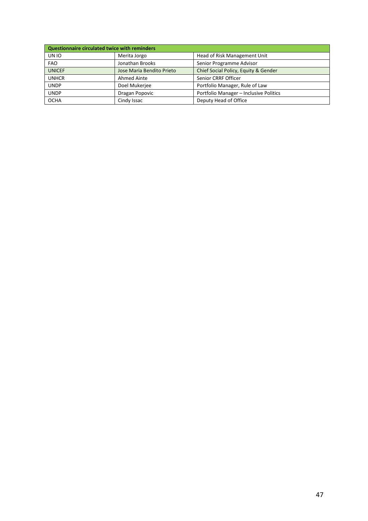| Questionnaire circulated twice with reminders |                           |                                        |
|-----------------------------------------------|---------------------------|----------------------------------------|
| UN IO                                         | Merita Jorgo              | Head of Risk Management Unit           |
| <b>FAO</b>                                    | Jonathan Brooks           | Senior Programme Advisor               |
| <b>UNICEF</b>                                 | Jose Maria Bendito Prieto | Chief Social Policy, Equity & Gender   |
| <b>UNHCR</b>                                  | Ahmed Ainte               | Senior CRRF Officer                    |
| <b>UNDP</b>                                   | Doel Mukerjee             | Portfolio Manager, Rule of Law         |
| <b>UNDP</b>                                   | Dragan Popovic            | Portfolio Manager - Inclusive Politics |
| <b>OCHA</b>                                   | Cindy Issac               | Deputy Head of Office                  |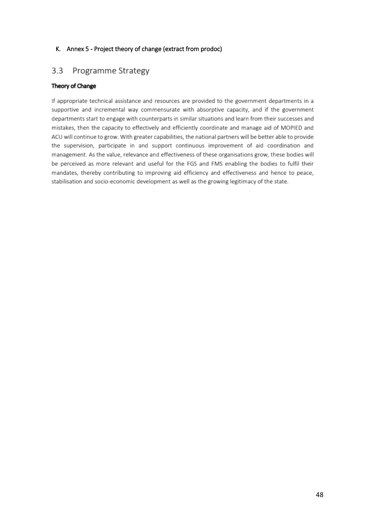#### <span id="page-47-0"></span>K. Annex 5 - Project theory of change (extract from prodoc)

#### $3.3$ Programme Strategy

#### Theory of Change

If appropriate technical assistance and resources are provided to the government departments in a supportive and incremental way commensurate with absorptive capacity, and if the government departments start to engage with counterparts in similar situations and learn from their successes and mistakes, then the capacity to effectively and efficiently coordinate and manage aid of MOPIED and ACU will continue to grow. With greater capabilities, the national partners will be better able to provide the supervision, participate in and support continuous improvement of aid coordination and management. As the value, relevance and effectiveness of these organisations grow, these bodies will be perceived as more relevant and useful for the FGS and FMS enabling the bodies to fulfil their mandates, thereby contributing to improving aid efficiency and effectiveness and hence to peace, stabilisation and socio-economic development as well as the growing legitimacy of the state.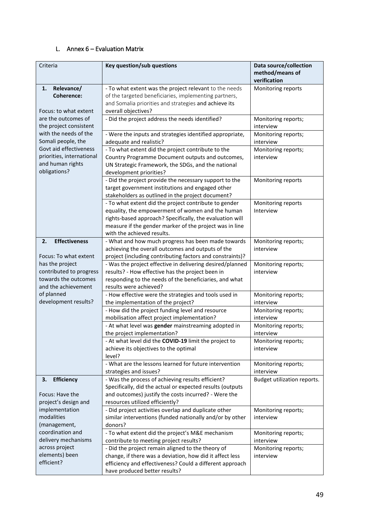#### <span id="page-48-0"></span>L. Annex 6 – Evaluation Matrix

| Criteria                                                                                  | Key question/sub questions                                                                                                                                                                                                                                     | Data source/collection<br>method/means of<br>verification |
|-------------------------------------------------------------------------------------------|----------------------------------------------------------------------------------------------------------------------------------------------------------------------------------------------------------------------------------------------------------------|-----------------------------------------------------------|
| Relevance/<br>1.<br><b>Coherence:</b><br>Focus: to what extent                            | - To what extent was the project relevant to the needs<br>of the targeted beneficiaries, implementing partners,<br>and Somalia priorities and strategies and achieve its<br>overall objectives?                                                                | Monitoring reports                                        |
| are the outcomes of<br>the project consistent                                             | - Did the project address the needs identified?                                                                                                                                                                                                                | Monitoring reports;<br>interview                          |
| with the needs of the<br>Somali people, the                                               | - Were the inputs and strategies identified appropriate,<br>adequate and realistic?                                                                                                                                                                            | Monitoring reports;<br>interview                          |
| Govt aid effectiveness<br>priorities, international<br>and human rights<br>obligations?   | - To what extent did the project contribute to the<br>Country Programme Document outputs and outcomes,<br>UN Strategic Framework, the SDGs, and the national<br>development priorities?                                                                        | Monitoring reports;<br>interview                          |
|                                                                                           | - Did the project provide the necessary support to the<br>target government institutions and engaged other<br>stakeholders as outlined in the project document?                                                                                                | Monitoring reports                                        |
|                                                                                           | - To what extent did the project contribute to gender<br>equality, the empowerment of women and the human<br>rights-based approach? Specifically, the evaluation will<br>measure if the gender marker of the project was in line<br>with the achieved results. | Monitoring reports<br>Interview                           |
| <b>Effectiveness</b><br>2.<br>Focus: To what extent                                       | - What and how much progress has been made towards<br>achieving the overall outcomes and outputs of the<br>project (including contributing factors and constraints)?                                                                                           | Monitoring reports;<br>interview                          |
| has the project<br>contributed to progress<br>towards the outcomes<br>and the achievement | - Was the project effective in delivering desired/planned<br>results? - How effective has the project been in<br>responding to the needs of the beneficiaries, and what<br>results were achieved?                                                              | Monitoring reports;<br>interview                          |
| of planned<br>development results?                                                        | - How effective were the strategies and tools used in<br>the implementation of the project?                                                                                                                                                                    | Monitoring reports;<br>interview                          |
|                                                                                           | - How did the project funding level and resource<br>mobilisation affect project implementation?                                                                                                                                                                | Monitoring reports;<br>interview                          |
|                                                                                           | - At what level was gender mainstreaming adopted in<br>the project implementation?                                                                                                                                                                             | Monitoring reports;<br>interview                          |
|                                                                                           | - At what level did the COVID-19 limit the project to<br>achieve its objectives to the optimal<br>level?                                                                                                                                                       | Monitoring reports;<br>interview                          |
|                                                                                           | - What are the lessons learned for future intervention<br>strategies and issues?                                                                                                                                                                               | Monitoring reports;<br>interview                          |
| <b>Efficiency</b><br>3.<br>Focus: Have the<br>project's design and                        | - Was the process of achieving results efficient?<br>Specifically, did the actual or expected results (outputs<br>and outcomes) justify the costs incurred? - Were the<br>resources utilized efficiently?                                                      | Budget utilization reports.                               |
| implementation<br>modalities<br>(management,                                              | - Did project activities overlap and duplicate other<br>similar interventions (funded nationally and/or by other<br>donors?                                                                                                                                    | Monitoring reports;<br>interview                          |
| coordination and<br>delivery mechanisms                                                   | - To what extent did the project's M&E mechanism<br>contribute to meeting project results?                                                                                                                                                                     | Monitoring reports;<br>interview                          |
| across project<br>elements) been<br>efficient?                                            | - Did the project remain aligned to the theory of<br>change, if there was a deviation, how did it affect less<br>efficiency and effectiveness? Could a different approach<br>have produced better results?                                                     | Monitoring reports;<br>interview                          |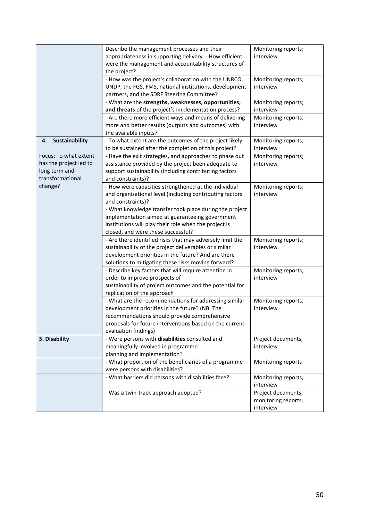|                        | Describe the management processes and their               | Monitoring reports; |
|------------------------|-----------------------------------------------------------|---------------------|
|                        | appropriateness in supporting delivery. - How efficient   | interview           |
|                        | were the management and accountability structures of      |                     |
|                        | the project?                                              |                     |
|                        | - How was the project's collaboration with the UNRCO,     | Monitoring reports; |
|                        | UNDP, the FGS, FMS, national institutions, development    | interview           |
|                        | partners, and the SDRF Steering Committee?                |                     |
|                        | - What are the strengths, weaknesses, opportunities,      | Monitoring reports; |
|                        | and threats of the project's implementation process?      | interview           |
|                        | - Are there more efficient ways and means of delivering   | Monitoring reports; |
|                        | more and better results (outputs and outcomes) with       | interview           |
|                        | the available inputs?                                     |                     |
| Sustainability<br>4.   | - To what extent are the outcomes of the project likely   | Monitoring reports; |
|                        | to be sustained after the completion of this project?     | interview           |
| Focus: To what extent  | - Have the exit strategies, and approaches to phase out   | Monitoring reports; |
| has the project led to | assistance provided by the project been adequate to       | interview           |
| long term and          | support sustainability (including contributing factors    |                     |
| transformational       | and constraints)?                                         |                     |
| change?                | - How were capacities strengthened at the individual      | Monitoring reports; |
|                        | and organizational level (including contributing factors  | interview           |
|                        | and constraints)?                                         |                     |
|                        | - What knowledge transfer took place during the project   |                     |
|                        | implementation aimed at guaranteeing government           |                     |
|                        | institutions will play their role when the project is     |                     |
|                        | closed, and were these successful?                        |                     |
|                        | - Are there identified risks that may adversely limit the | Monitoring reports; |
|                        | sustainability of the project deliverables or similar     | interview           |
|                        | development priorities in the future? And are there       |                     |
|                        | solutions to mitigating these risks moving forward?       |                     |
|                        | - Describe key factors that will require attention in     | Monitoring reports; |
|                        | order to improve prospects of                             | interview           |
|                        | sustainability of project outcomes and the potential for  |                     |
|                        | replication of the approach                               |                     |
|                        | - What are the recommendations for addressing similar     | Monitoring reports, |
|                        | development priorities in the future? (NB. The            | interview           |
|                        | recommendations should provide comprehensive              |                     |
|                        | proposals for future interventions based on the current   |                     |
|                        | evaluation findings)                                      |                     |
| 5. Disability          | - Were persons with disabilities consulted and            | Project documents,  |
|                        | meaningfully involved in programme                        | interview           |
|                        | planning and implementation?                              |                     |
|                        | - What proportion of the beneficiaries of a programme     | Monitoring reports  |
|                        | were persons with disabilities?                           |                     |
|                        | - What barriers did persons with disabilities face?       | Monitoring reports, |
|                        |                                                           | interview           |
|                        | - Was a twin-track approach adopted?                      | Project documents,  |
|                        |                                                           | monitoring reports, |
|                        |                                                           | interview           |
|                        |                                                           |                     |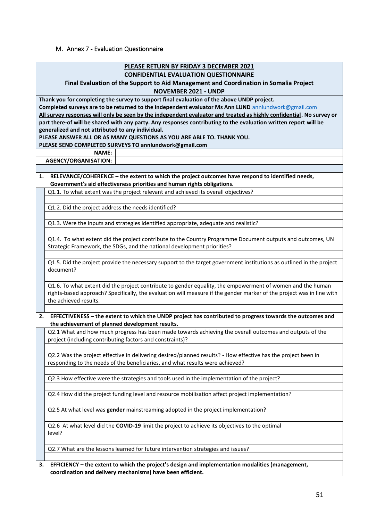#### <span id="page-50-0"></span>M. Annex 7 - Evaluation Questionnaire

| <b>PLEASE RETURN BY FRIDAY 3 DECEMBER 2021</b><br><b>CONFIDENTIAL EVALUATION QUESTIONNAIRE</b>                                                                                    |  |  |  |  |  |  |
|-----------------------------------------------------------------------------------------------------------------------------------------------------------------------------------|--|--|--|--|--|--|
| Final Evaluation of the Support to Aid Management and Coordination in Somalia Project<br><b>NOVEMBER 2021 - UNDP</b>                                                              |  |  |  |  |  |  |
|                                                                                                                                                                                   |  |  |  |  |  |  |
| Thank you for completing the survey to support final evaluation of the above UNDP project.                                                                                        |  |  |  |  |  |  |
| Completed surveys are to be returned to the independent evaluator Ms Ann LUND annlundwork@gmail.com                                                                               |  |  |  |  |  |  |
| All survey responses will only be seen by the independent evaluator and treated as highly confidential. No survey or                                                              |  |  |  |  |  |  |
| part there-of will be shared with any party. Any responses contributing to the evaluation written report will be                                                                  |  |  |  |  |  |  |
| generalized and not attributed to any individual.                                                                                                                                 |  |  |  |  |  |  |
| PLEASE ANSWER ALL OR AS MANY QUESTIONS AS YOU ARE ABLE TO. THANK YOU.                                                                                                             |  |  |  |  |  |  |
| PLEASE SEND COMPLETED SURVEYS TO annlundwork@gmail.com                                                                                                                            |  |  |  |  |  |  |
| <b>NAME:</b>                                                                                                                                                                      |  |  |  |  |  |  |
| AGENCY/ORGANISATION:                                                                                                                                                              |  |  |  |  |  |  |
|                                                                                                                                                                                   |  |  |  |  |  |  |
| RELEVANCE/COHERENCE - the extent to which the project outcomes have respond to identified needs,<br>1.<br>Government's aid effectiveness priorities and human rights obligations. |  |  |  |  |  |  |
| Q1.1. To what extent was the project relevant and achieved its overall objectives?                                                                                                |  |  |  |  |  |  |
|                                                                                                                                                                                   |  |  |  |  |  |  |
| Q1.2. Did the project address the needs identified?                                                                                                                               |  |  |  |  |  |  |
|                                                                                                                                                                                   |  |  |  |  |  |  |
| Q1.3. Were the inputs and strategies identified appropriate, adequate and realistic?                                                                                              |  |  |  |  |  |  |
|                                                                                                                                                                                   |  |  |  |  |  |  |
| Q1.4. To what extent did the project contribute to the Country Programme Document outputs and outcomes, UN                                                                        |  |  |  |  |  |  |
| Strategic Framework, the SDGs, and the national development priorities?                                                                                                           |  |  |  |  |  |  |
|                                                                                                                                                                                   |  |  |  |  |  |  |
|                                                                                                                                                                                   |  |  |  |  |  |  |
| Q1.5. Did the project provide the necessary support to the target government institutions as outlined in the project<br>document?                                                 |  |  |  |  |  |  |
|                                                                                                                                                                                   |  |  |  |  |  |  |
|                                                                                                                                                                                   |  |  |  |  |  |  |
| Q1.6. To what extent did the project contribute to gender equality, the empowerment of women and the human                                                                        |  |  |  |  |  |  |
| rights-based approach? Specifically, the evaluation will measure if the gender marker of the project was in line with                                                             |  |  |  |  |  |  |
| the achieved results.                                                                                                                                                             |  |  |  |  |  |  |
|                                                                                                                                                                                   |  |  |  |  |  |  |
| EFFECTIVENESS - the extent to which the UNDP project has contributed to progress towards the outcomes and<br>2.<br>the achievement of planned development results.                |  |  |  |  |  |  |
| Q2.1 What and how much progress has been made towards achieving the overall outcomes and outputs of the                                                                           |  |  |  |  |  |  |
| project (including contributing factors and constraints)?                                                                                                                         |  |  |  |  |  |  |
|                                                                                                                                                                                   |  |  |  |  |  |  |
| Q2.2 Was the project effective in delivering desired/planned results? - How effective has the project been in                                                                     |  |  |  |  |  |  |
| responding to the needs of the beneficiaries, and what results were achieved?                                                                                                     |  |  |  |  |  |  |
|                                                                                                                                                                                   |  |  |  |  |  |  |
|                                                                                                                                                                                   |  |  |  |  |  |  |
| Q2.3 How effective were the strategies and tools used in the implementation of the project?                                                                                       |  |  |  |  |  |  |
|                                                                                                                                                                                   |  |  |  |  |  |  |
| Q2.4 How did the project funding level and resource mobilisation affect project implementation?                                                                                   |  |  |  |  |  |  |
|                                                                                                                                                                                   |  |  |  |  |  |  |
| Q2.5 At what level was gender mainstreaming adopted in the project implementation?                                                                                                |  |  |  |  |  |  |
|                                                                                                                                                                                   |  |  |  |  |  |  |
| Q2.6 At what level did the COVID-19 limit the project to achieve its objectives to the optimal                                                                                    |  |  |  |  |  |  |
| level?                                                                                                                                                                            |  |  |  |  |  |  |
|                                                                                                                                                                                   |  |  |  |  |  |  |
| Q2.7 What are the lessons learned for future intervention strategies and issues?                                                                                                  |  |  |  |  |  |  |
|                                                                                                                                                                                   |  |  |  |  |  |  |
| EFFICIENCY - the extent to which the project's design and implementation modalities (management,<br>3.                                                                            |  |  |  |  |  |  |
| coordination and delivery mechanisms) have been efficient.                                                                                                                        |  |  |  |  |  |  |